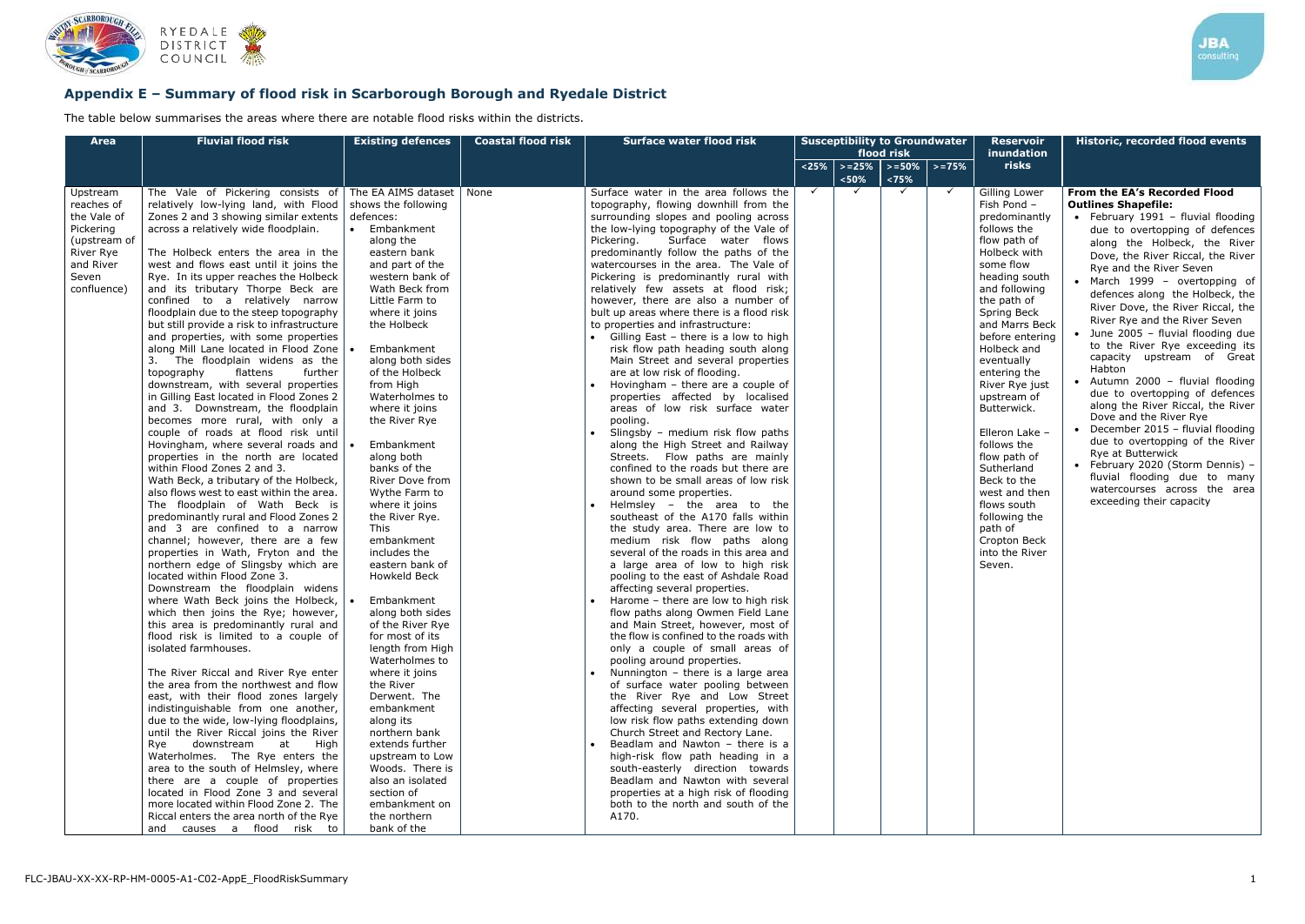

# **Appendix E – Summary of flood risk in Scarborough Borough and Ryedale District**

The table below summarises the areas where there are notable flood risks within the districts.

| <b>Area</b>                                                                                                          | <b>Fluvial flood risk</b>                                                                                                                                                                                                                                                                                                                                                                                                                                                                                                                                                                                                                                                                                                                                                                                                                                                                                                                                                                                                                                                                                                                                                                                                                                                                                                                                                                                                                                                                                                                                                                                                                                                                                                                                                                                                                                                                                                                                                                                                                                                       | <b>Existing defences</b>                                                                                                                                                                                                                                                                                                                                                                                                                                                                                                                                                                                                                                                                                                                                                                                                                                                                           | <b>Coastal flood risk</b> | <b>Surface water flood risk</b>                                                                                                                                                                                                                                                                                                                                                                                                                                                                                                                                                                                                                                                                                                                                                                                                                                                                                                                                                                                                                                                                                                                                                                                                                                                                                                                                                                                                                                                                                                                                                                                                                                                                                                                                                                                                                                                                                                                                                                 | <b>Susceptibility to Groundwater</b><br>flood risk |                                      |                    |              |  |
|----------------------------------------------------------------------------------------------------------------------|---------------------------------------------------------------------------------------------------------------------------------------------------------------------------------------------------------------------------------------------------------------------------------------------------------------------------------------------------------------------------------------------------------------------------------------------------------------------------------------------------------------------------------------------------------------------------------------------------------------------------------------------------------------------------------------------------------------------------------------------------------------------------------------------------------------------------------------------------------------------------------------------------------------------------------------------------------------------------------------------------------------------------------------------------------------------------------------------------------------------------------------------------------------------------------------------------------------------------------------------------------------------------------------------------------------------------------------------------------------------------------------------------------------------------------------------------------------------------------------------------------------------------------------------------------------------------------------------------------------------------------------------------------------------------------------------------------------------------------------------------------------------------------------------------------------------------------------------------------------------------------------------------------------------------------------------------------------------------------------------------------------------------------------------------------------------------------|----------------------------------------------------------------------------------------------------------------------------------------------------------------------------------------------------------------------------------------------------------------------------------------------------------------------------------------------------------------------------------------------------------------------------------------------------------------------------------------------------------------------------------------------------------------------------------------------------------------------------------------------------------------------------------------------------------------------------------------------------------------------------------------------------------------------------------------------------------------------------------------------------|---------------------------|-------------------------------------------------------------------------------------------------------------------------------------------------------------------------------------------------------------------------------------------------------------------------------------------------------------------------------------------------------------------------------------------------------------------------------------------------------------------------------------------------------------------------------------------------------------------------------------------------------------------------------------------------------------------------------------------------------------------------------------------------------------------------------------------------------------------------------------------------------------------------------------------------------------------------------------------------------------------------------------------------------------------------------------------------------------------------------------------------------------------------------------------------------------------------------------------------------------------------------------------------------------------------------------------------------------------------------------------------------------------------------------------------------------------------------------------------------------------------------------------------------------------------------------------------------------------------------------------------------------------------------------------------------------------------------------------------------------------------------------------------------------------------------------------------------------------------------------------------------------------------------------------------------------------------------------------------------------------------------------------------|----------------------------------------------------|--------------------------------------|--------------------|--------------|--|
|                                                                                                                      |                                                                                                                                                                                                                                                                                                                                                                                                                                                                                                                                                                                                                                                                                                                                                                                                                                                                                                                                                                                                                                                                                                                                                                                                                                                                                                                                                                                                                                                                                                                                                                                                                                                                                                                                                                                                                                                                                                                                                                                                                                                                                 |                                                                                                                                                                                                                                                                                                                                                                                                                                                                                                                                                                                                                                                                                                                                                                                                                                                                                                    |                           |                                                                                                                                                                                                                                                                                                                                                                                                                                                                                                                                                                                                                                                                                                                                                                                                                                                                                                                                                                                                                                                                                                                                                                                                                                                                                                                                                                                                                                                                                                                                                                                                                                                                                                                                                                                                                                                                                                                                                                                                 |                                                    | $\vert$ <25% $\vert$ > =25%<br>< 50% | $> = 50%$<br>< 75% | $> = 75%$    |  |
| Upstream<br>reaches of<br>the Vale of<br>Pickering<br>(upstream of<br>River Rye<br>and River<br>Seven<br>confluence) | The Vale of Pickering consists of<br>relatively low-lying land, with Flood<br>Zones 2 and 3 showing similar extents<br>across a relatively wide floodplain.<br>The Holbeck enters the area in the<br>west and flows east until it joins the<br>Rye. In its upper reaches the Holbeck<br>and its tributary Thorpe Beck are<br>confined to a relatively narrow<br>floodplain due to the steep topography<br>but still provide a risk to infrastructure<br>and properties, with some properties<br>along Mill Lane located in Flood Zone<br>The floodplain widens as the<br>flattens<br>topography<br>further<br>downstream, with several properties<br>in Gilling East located in Flood Zones 2<br>and 3. Downstream, the floodplain<br>becomes more rural, with only a<br>couple of roads at flood risk until<br>Hovingham, where several roads and $\vert$<br>properties in the north are located<br>within Flood Zones 2 and 3.<br>Wath Beck, a tributary of the Holbeck,<br>also flows west to east within the area.<br>The floodplain of Wath Beck is<br>predominantly rural and Flood Zones 2<br>and 3 are confined to a narrow<br>channel; however, there are a few<br>properties in Wath, Fryton and the<br>northern edge of Slingsby which are<br>located within Flood Zone 3.<br>Downstream the floodplain widens<br>where Wath Beck joins the Holbeck,<br>which then joins the Rye; however,<br>this area is predominantly rural and<br>flood risk is limited to a couple of<br>isolated farmhouses.<br>The River Riccal and River Rye enter<br>the area from the northwest and flow<br>east, with their flood zones largely<br>indistinguishable from one another,<br>due to the wide, low-lying floodplains,<br>until the River Riccal joins the River<br>downstream<br>Rye<br>at<br>High<br>Waterholmes. The Rye enters the<br>area to the south of Helmsley, where<br>there are a couple of properties<br>located in Flood Zone 3 and several<br>more located within Flood Zone 2. The<br>Riccal enters the area north of the Rye<br>causes a flood risk to<br>and | The EA AIMS dataset<br>shows the following<br>defences:<br>Embankment<br>$\bullet$<br>along the<br>eastern bank<br>and part of the<br>western bank of<br>Wath Beck from<br>Little Farm to<br>where it joins<br>the Holbeck<br>Embankment<br>along both sides<br>of the Holbeck<br>from High<br>Waterholmes to<br>where it joins<br>the River Rye<br>Embankment<br>along both<br>banks of the<br>River Dove from<br>Wythe Farm to<br>where it joins<br>the River Rye.<br>This<br>embankment<br>includes the<br>eastern bank of<br>Howkeld Beck<br>Embankment<br>along both sides<br>of the River Rye<br>for most of its<br>length from High<br>Waterholmes to<br>where it joins<br>the River<br>Derwent. The<br>embankment<br>along its<br>northern bank<br>extends further<br>upstream to Low<br>Woods. There is<br>also an isolated<br>section of<br>embankment on<br>the northern<br>bank of the | None                      | Surface water in the area follows the<br>topography, flowing downhill from the<br>surrounding slopes and pooling across<br>the low-lying topography of the Vale of<br>Pickering.<br>Surface water flows<br>predominantly follow the paths of the<br>watercourses in the area. The Vale of<br>Pickering is predominantly rural with<br>relatively few assets at flood risk;<br>however, there are also a number of<br>bult up areas where there is a flood risk<br>to properties and infrastructure:<br>• Gilling East - there is a low to high<br>risk flow path heading south along<br>Main Street and several properties<br>are at low risk of flooding.<br>Hovingham - there are a couple of<br>properties affected by localised<br>areas of low risk surface water<br>pooling.<br>Slingsby - medium risk flow paths<br>along the High Street and Railway<br>Streets. Flow paths are mainly<br>confined to the roads but there are<br>shown to be small areas of low risk<br>around some properties.<br>Helmsley - the area to the<br>southeast of the A170 falls within<br>the study area. There are low to<br>medium risk flow paths along<br>several of the roads in this area and<br>a large area of low to high risk<br>pooling to the east of Ashdale Road<br>affecting several properties.<br>Harome - there are low to high risk<br>flow paths along Owmen Field Lane<br>and Main Street, however, most of<br>the flow is confined to the roads with<br>only a couple of small areas of<br>pooling around properties.<br>Nunnington - there is a large area<br>of surface water pooling between<br>the River Rye and Low Street<br>affecting several properties, with<br>low risk flow paths extending down<br>Church Street and Rectory Lane.<br>Beadlam and Nawton - there is a<br>high-risk flow path heading in a<br>south-easterly direction towards<br>Beadlam and Nawton with several<br>properties at a high risk of flooding<br>both to the north and south of the<br>A170. | $\checkmark$                                       | ✓                                    | $\checkmark$       | $\checkmark$ |  |

**Reservoir inundation risks Historic, recorded flood events** Gilling Lower Fish Pond – predominantly follows the flow path of Holbeck with some flow heading south and following the path of Spring Beck and Marrs Beck before entering Holbeck and eventually entering the River Rye just upstream of Butterwick. Elleron Lake – follows the flow path of Sutherland Beck to the west and then flows south following the path of Cropton Beck into the River Seven. **From the EA's Recorded Flood Outlines Shapefile:** • February 1991 – fluvial flooding due to overtopping of defences along the Holbeck, the River Dove, the River Riccal, the River Rye and the River Seven • March 1999 – overtopping of defences along the Holbeck, the River Dove, the River Riccal, the River Rye and the River Seven • June 2005 – fluvial flooding due to the River Rye exceeding its capacity upstream of Great Habton • Autumn 2000 – fluvial flooding due to overtopping of defences along the River Riccal, the River Dove and the River Rye • December 2015 – fluvial flooding due to overtopping of the River Rye at Butterwick • February 2020 (Storm Dennis) – fluvial flooding due to many watercourses across the area exceeding their capacity

**JBA**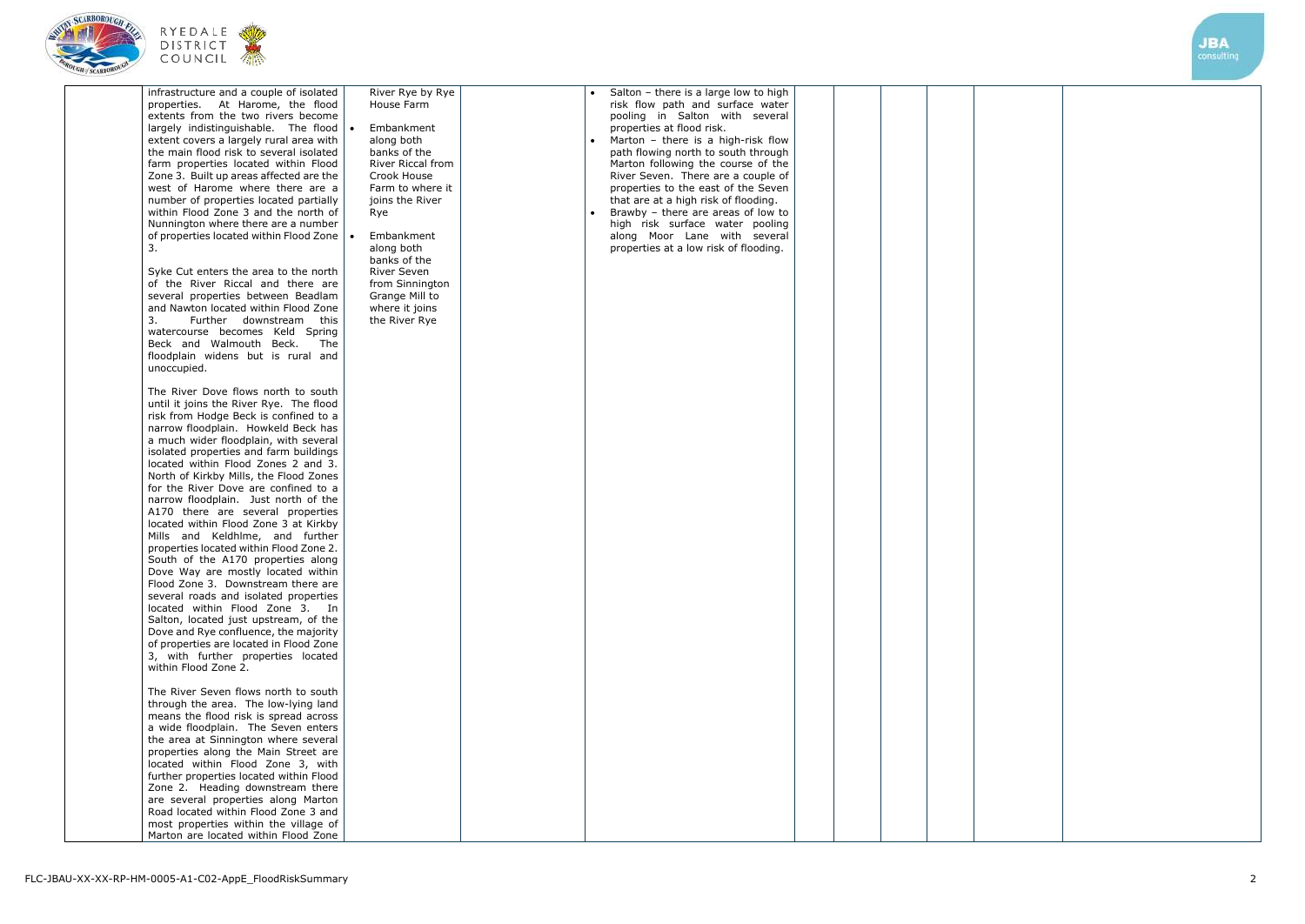





| infrastructure and a couple of isolated<br>At Harome, the flood<br>properties.<br>extents from the two rivers become<br>largely indistinguishable. The flood<br>extent covers a largely rural area with<br>the main flood risk to several isolated<br>farm properties located within Flood<br>Zone 3. Built up areas affected are the<br>west of Harome where there are a<br>number of properties located partially<br>within Flood Zone 3 and the north of<br>Nunnington where there are a number<br>of properties located within Flood Zone<br>3.<br>Syke Cut enters the area to the north<br>of the River Riccal and there are<br>several properties between Beadlam<br>and Nawton located within Flood Zone<br>3.<br>Further downstream<br>this<br>watercourse becomes Keld Spring<br>Beck and Walmouth Beck.<br>The<br>floodplain widens but is rural and<br>unoccupied.<br>The River Dove flows north to south<br>until it joins the River Rye. The flood<br>risk from Hodge Beck is confined to a<br>narrow floodplain. Howkeld Beck has<br>a much wider floodplain, with several<br>isolated properties and farm buildings<br>located within Flood Zones 2 and 3.<br>North of Kirkby Mills, the Flood Zones<br>for the River Dove are confined to a<br>narrow floodplain. Just north of the<br>A170 there are several properties<br>located within Flood Zone 3 at Kirkby<br>Mills and Keldhlme, and further<br>properties located within Flood Zone 2.<br>South of the A170 properties along<br>Dove Way are mostly located within<br>Flood Zone 3. Downstream there are<br>several roads and isolated properties<br>located within Flood Zone 3. In<br>Salton, located just upstream, of the<br>Dove and Rye confluence, the majority<br>of properties are located in Flood Zone<br>3, with further properties located<br>within Flood Zone 2.<br>The River Seven flows north to south<br>through the area. The low-lying land | River Rye by Rye<br>House Farm<br>Embankment<br>$\bullet$<br>along both<br>banks of the<br><b>River Riccal from</b><br>Crook House<br>Farm to where it<br>joins the River<br>Rye<br>Embankment<br>along both<br>banks of the<br>River Seven<br>from Sinnington<br>Grange Mill to<br>where it joins<br>the River Rye | Salton - there is a large low to high<br>risk flow path and surface water<br>pooling in Salton with several<br>properties at flood risk.<br>Marton - there is a high-risk flow<br>path flowing north to south through<br>Marton following the course of the<br>River Seven. There are a couple of<br>properties to the east of the Seven<br>that are at a high risk of flooding.<br>Brawby - there are areas of low to<br>$\bullet$<br>high risk surface water pooling<br>along Moor Lane with several<br>properties at a low risk of flooding. |  |  |
|------------------------------------------------------------------------------------------------------------------------------------------------------------------------------------------------------------------------------------------------------------------------------------------------------------------------------------------------------------------------------------------------------------------------------------------------------------------------------------------------------------------------------------------------------------------------------------------------------------------------------------------------------------------------------------------------------------------------------------------------------------------------------------------------------------------------------------------------------------------------------------------------------------------------------------------------------------------------------------------------------------------------------------------------------------------------------------------------------------------------------------------------------------------------------------------------------------------------------------------------------------------------------------------------------------------------------------------------------------------------------------------------------------------------------------------------------------------------------------------------------------------------------------------------------------------------------------------------------------------------------------------------------------------------------------------------------------------------------------------------------------------------------------------------------------------------------------------------------------------------------------------------------------------------------------------|---------------------------------------------------------------------------------------------------------------------------------------------------------------------------------------------------------------------------------------------------------------------------------------------------------------------|-------------------------------------------------------------------------------------------------------------------------------------------------------------------------------------------------------------------------------------------------------------------------------------------------------------------------------------------------------------------------------------------------------------------------------------------------------------------------------------------------------------------------------------------------|--|--|
| means the flood risk is spread across<br>a wide floodplain. The Seven enters<br>the area at Sinnington where several                                                                                                                                                                                                                                                                                                                                                                                                                                                                                                                                                                                                                                                                                                                                                                                                                                                                                                                                                                                                                                                                                                                                                                                                                                                                                                                                                                                                                                                                                                                                                                                                                                                                                                                                                                                                                     |                                                                                                                                                                                                                                                                                                                     |                                                                                                                                                                                                                                                                                                                                                                                                                                                                                                                                                 |  |  |
| properties along the Main Street are<br>located within Flood Zone 3, with<br>further properties located within Flood                                                                                                                                                                                                                                                                                                                                                                                                                                                                                                                                                                                                                                                                                                                                                                                                                                                                                                                                                                                                                                                                                                                                                                                                                                                                                                                                                                                                                                                                                                                                                                                                                                                                                                                                                                                                                     |                                                                                                                                                                                                                                                                                                                     |                                                                                                                                                                                                                                                                                                                                                                                                                                                                                                                                                 |  |  |
| Zone 2. Heading downstream there<br>are several properties along Marton<br>Road located within Flood Zone 3 and                                                                                                                                                                                                                                                                                                                                                                                                                                                                                                                                                                                                                                                                                                                                                                                                                                                                                                                                                                                                                                                                                                                                                                                                                                                                                                                                                                                                                                                                                                                                                                                                                                                                                                                                                                                                                          |                                                                                                                                                                                                                                                                                                                     |                                                                                                                                                                                                                                                                                                                                                                                                                                                                                                                                                 |  |  |
| most properties within the village of<br>Marton are located within Flood Zone                                                                                                                                                                                                                                                                                                                                                                                                                                                                                                                                                                                                                                                                                                                                                                                                                                                                                                                                                                                                                                                                                                                                                                                                                                                                                                                                                                                                                                                                                                                                                                                                                                                                                                                                                                                                                                                            |                                                                                                                                                                                                                                                                                                                     |                                                                                                                                                                                                                                                                                                                                                                                                                                                                                                                                                 |  |  |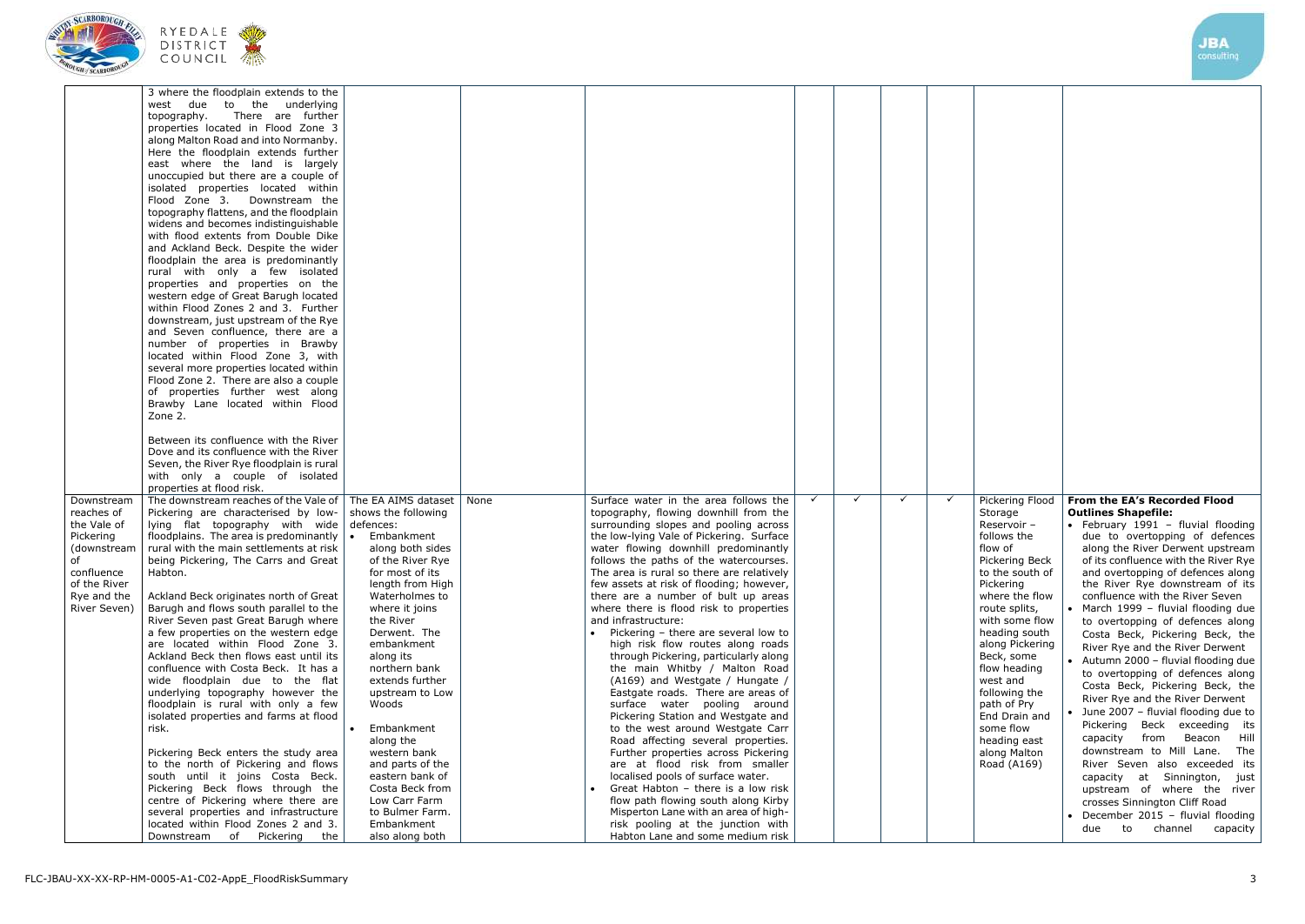JBA





|                                                                                                                         | <b>COUNCIL</b> 杰                                                                                                                                                                                                                                                                                                                                                                                                                                                                                                                                                                                                                                                                                                                                                                                                                                                                                                                                                                                                                                                                                                                                                                                                                                                   |                                                                                                                                                                                                                                                                                                                                                                                                                   |      |                                                                                                                                                                                                                                                                                                                                                                                                                                                                                                                                                                                                                                                                                                                                                                                                                                                                                                                                                                                                                                                                                                                                                     |              |              |              |              |                                                                                                                                                                                                                                                                                                                                                                       |                                                                                                                                                                                                                                                                                                                                                                                                                                                                                                                                                                                                                                                                                                                                                                                                                                                                                                                                                      | consulting              |
|-------------------------------------------------------------------------------------------------------------------------|--------------------------------------------------------------------------------------------------------------------------------------------------------------------------------------------------------------------------------------------------------------------------------------------------------------------------------------------------------------------------------------------------------------------------------------------------------------------------------------------------------------------------------------------------------------------------------------------------------------------------------------------------------------------------------------------------------------------------------------------------------------------------------------------------------------------------------------------------------------------------------------------------------------------------------------------------------------------------------------------------------------------------------------------------------------------------------------------------------------------------------------------------------------------------------------------------------------------------------------------------------------------|-------------------------------------------------------------------------------------------------------------------------------------------------------------------------------------------------------------------------------------------------------------------------------------------------------------------------------------------------------------------------------------------------------------------|------|-----------------------------------------------------------------------------------------------------------------------------------------------------------------------------------------------------------------------------------------------------------------------------------------------------------------------------------------------------------------------------------------------------------------------------------------------------------------------------------------------------------------------------------------------------------------------------------------------------------------------------------------------------------------------------------------------------------------------------------------------------------------------------------------------------------------------------------------------------------------------------------------------------------------------------------------------------------------------------------------------------------------------------------------------------------------------------------------------------------------------------------------------------|--------------|--------------|--------------|--------------|-----------------------------------------------------------------------------------------------------------------------------------------------------------------------------------------------------------------------------------------------------------------------------------------------------------------------------------------------------------------------|------------------------------------------------------------------------------------------------------------------------------------------------------------------------------------------------------------------------------------------------------------------------------------------------------------------------------------------------------------------------------------------------------------------------------------------------------------------------------------------------------------------------------------------------------------------------------------------------------------------------------------------------------------------------------------------------------------------------------------------------------------------------------------------------------------------------------------------------------------------------------------------------------------------------------------------------------|-------------------------|
|                                                                                                                         | 3 where the floodplain extends to the<br>west due to the underlying<br>There are further<br>topography.<br>properties located in Flood Zone 3<br>along Malton Road and into Normanby.<br>Here the floodplain extends further<br>east where the land is largely<br>unoccupied but there are a couple of<br>isolated properties located within<br>Flood Zone 3. Downstream the<br>topography flattens, and the floodplain<br>widens and becomes indistinguishable<br>with flood extents from Double Dike<br>and Ackland Beck. Despite the wider<br>floodplain the area is predominantly<br>rural with only a few isolated<br>properties and properties on the<br>western edge of Great Barugh located<br>within Flood Zones 2 and 3. Further<br>downstream, just upstream of the Rye<br>and Seven confluence, there are a<br>number of properties in Brawby<br>located within Flood Zone 3, with<br>several more properties located within<br>Flood Zone 2. There are also a couple<br>of properties further west along<br>Brawby Lane located within Flood<br>Zone 2.<br>Between its confluence with the River<br>Dove and its confluence with the River<br>Seven, the River Rye floodplain is rural<br>with only a couple of isolated<br>properties at flood risk. |                                                                                                                                                                                                                                                                                                                                                                                                                   |      |                                                                                                                                                                                                                                                                                                                                                                                                                                                                                                                                                                                                                                                                                                                                                                                                                                                                                                                                                                                                                                                                                                                                                     |              |              |              |              |                                                                                                                                                                                                                                                                                                                                                                       |                                                                                                                                                                                                                                                                                                                                                                                                                                                                                                                                                                                                                                                                                                                                                                                                                                                                                                                                                      |                         |
| Downstream<br>reaches of<br>the Vale of<br>Pickering<br>of<br>confluence<br>of the River<br>Rye and the<br>River Seven) | The downstream reaches of the Vale of   The EA AIMS dataset<br>Pickering are characterised by low- $\vert$ shows the following<br>lying flat topography with wide defences:<br>floodplains. The area is predominantly $\mathbf{I} \cdot \mathbf{E}$ Embankment<br>(downstream   rural with the main settlements at risk<br>being Pickering, The Carrs and Great<br>Habton.<br>Ackland Beck originates north of Great<br>Barugh and flows south parallel to the<br>River Seven past Great Barugh where<br>a few properties on the western edge<br>are located within Flood Zone 3.<br>Ackland Beck then flows east until its<br>confluence with Costa Beck. It has a<br>wide floodplain due to the flat<br>underlying topography however the<br>floodplain is rural with only a few<br>isolated properties and farms at flood<br>risk.<br>Pickering Beck enters the study area<br>to the north of Pickering and flows<br>south until it joins Costa Beck.<br>Pickering Beck flows through the<br>centre of Pickering where there are<br>several properties and infrastructure<br>located within Flood Zones 2 and 3.<br>Downstream of Pickering<br>the                                                                                                              | along both sides<br>of the River Rye<br>for most of its<br>length from High<br>Waterholmes to<br>where it joins<br>the River<br>Derwent. The<br>embankment<br>along its<br>northern bank<br>extends further<br>upstream to Low<br>Woods<br>Embankment<br>along the<br>western bank<br>and parts of the<br>eastern bank of<br>Costa Beck from<br>Low Carr Farm<br>to Bulmer Farm.<br>Embankment<br>also along both | None | Surface water in the area follows the<br>topography, flowing downhill from the<br>surrounding slopes and pooling across<br>the low-lying Vale of Pickering. Surface<br>water flowing downhill predominantly<br>follows the paths of the watercourses.<br>The area is rural so there are relatively<br>few assets at risk of flooding; however,<br>there are a number of bult up areas<br>where there is flood risk to properties<br>and infrastructure:<br>Pickering - there are several low to<br>high risk flow routes along roads<br>through Pickering, particularly along<br>the main Whitby / Malton Road<br>(A169) and Westgate / Hungate /<br>Eastgate roads. There are areas of<br>surface water pooling around<br>Pickering Station and Westgate and<br>to the west around Westgate Carr<br>Road affecting several properties.<br>Further properties across Pickering<br>are at flood risk from smaller<br>localised pools of surface water.<br>Great Habton - there is a low risk<br>flow path flowing south along Kirby<br>Misperton Lane with an area of high-<br>risk pooling at the junction with<br>Habton Lane and some medium risk | $\checkmark$ | $\checkmark$ | $\checkmark$ | $\checkmark$ | Pickering Flood<br>Storage<br>Reservoir -<br>follows the<br>flow of<br>Pickering Beck<br>to the south of<br>Pickering<br>where the flow<br>route splits,<br>with some flow<br>heading south<br>along Pickering<br>Beck, some<br>flow heading<br>west and<br>following the<br>path of Pry<br>End Drain and<br>some flow<br>heading east<br>along Malton<br>Road (A169) | From the EA's Recorded Flood<br><b>Outlines Shapefile:</b><br>· February 1991 - fluvial flooding<br>due to overtopping of defences<br>along the River Derwent upstream<br>of its confluence with the River Rye<br>and overtopping of defences along<br>the River Rye downstream of its<br>confluence with the River Seven<br>• March 1999 - fluvial flooding due<br>to overtopping of defences along<br>Costa Beck, Pickering Beck, the<br>River Rye and the River Derwent<br>• Autumn 2000 - fluvial flooding due<br>to overtopping of defences along<br>Costa Beck, Pickering Beck, the<br>River Rye and the River Derwent<br>June 2007 - fluvial flooding due to<br>Pickering Beck exceeding its<br>capacity<br>from<br>downstream to Mill Lane. The<br>River Seven also exceeded its<br>capacity at Sinnington, just<br>upstream of where the river<br>crosses Sinnington Cliff Road<br>December 2015 - fluvial flooding<br>channel<br>due<br>to | Beacon Hill<br>capacity |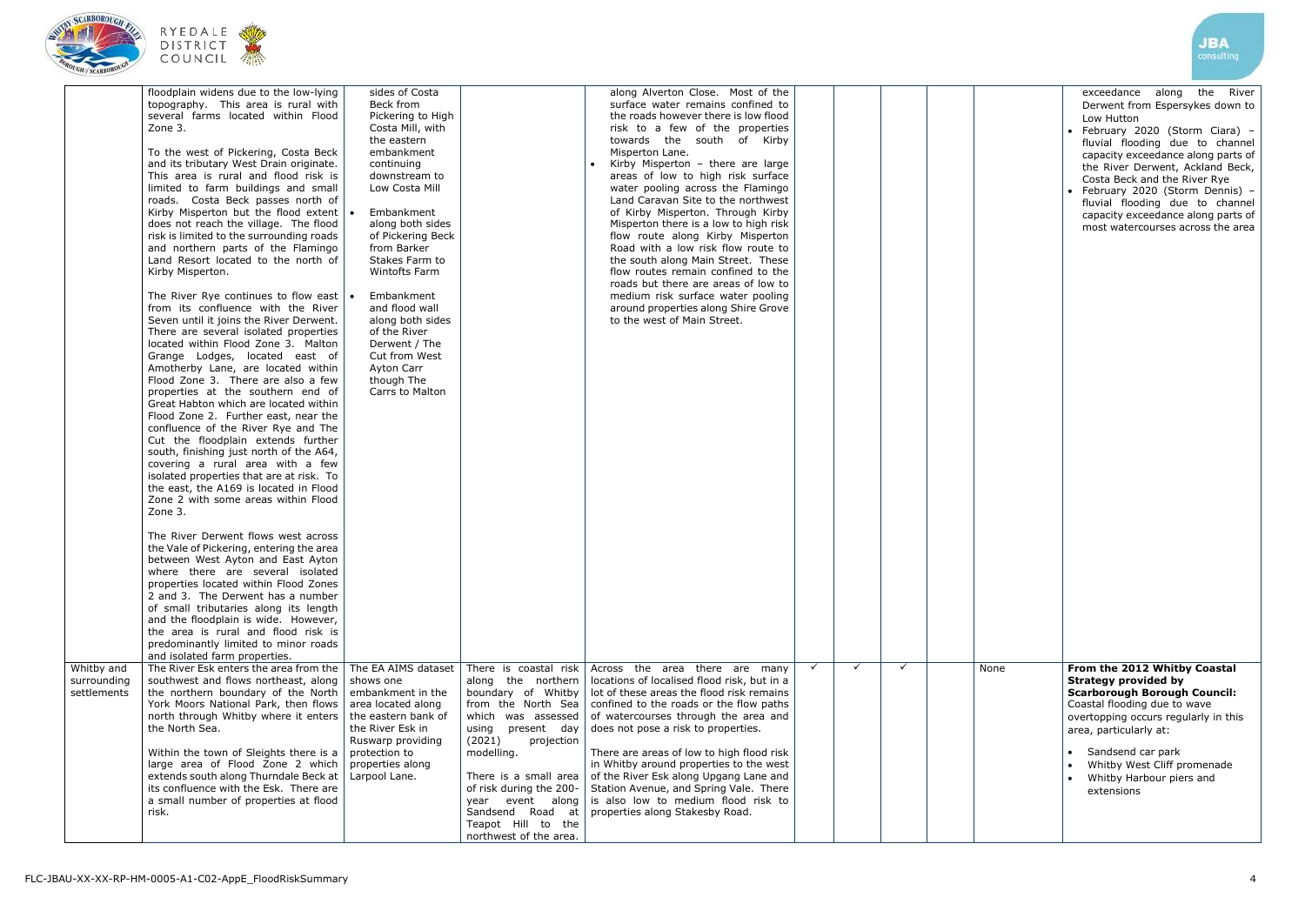



|                                          | floodplain widens due to the low-lying<br>topography. This area is rural with<br>several farms located within Flood<br>Zone 3.<br>To the west of Pickering, Costa Beck<br>and its tributary West Drain originate.<br>This area is rural and flood risk is<br>limited to farm buildings and small<br>roads. Costa Beck passes north of<br>Kirby Misperton but the flood extent<br>does not reach the village. The flood<br>risk is limited to the surrounding roads<br>and northern parts of the Flamingo<br>Land Resort located to the north of<br>Kirby Misperton.<br>The River Rye continues to flow east $\cdot$<br>from its confluence with the River<br>Seven until it joins the River Derwent.<br>There are several isolated properties<br>located within Flood Zone 3. Malton<br>Grange Lodges, located east of<br>Amotherby Lane, are located within<br>Flood Zone 3. There are also a few<br>properties at the southern end of<br>Great Habton which are located within<br>Flood Zone 2. Further east, near the<br>confluence of the River Rye and The<br>Cut the floodplain extends further<br>south, finishing just north of the A64,<br>covering a rural area with a few<br>isolated properties that are at risk. To<br>the east, the A169 is located in Flood<br>Zone 2 with some areas within Flood<br>Zone 3. | sides of Costa<br>Beck from<br>Pickering to High<br>Costa Mill, with<br>the eastern<br>embankment<br>continuing<br>downstream to<br>Low Costa Mill<br>Embankment<br>along both sides<br>of Pickering Beck<br>from Barker<br>Stakes Farm to<br>Wintofts Farm<br>Embankment<br>and flood wall<br>along both sides<br>of the River<br>Derwent / The<br>Cut from West<br>Ayton Carr<br>though The<br>Carrs to Malton |                                                                                                                                                                                                                                                                                                                         | along Alverton Close. Most of the<br>surface water remains confined to<br>the roads however there is low flood<br>risk to a few of the properties<br>towards the south of Kirby<br>Misperton Lane.<br>Kirby Misperton - there are large<br>areas of low to high risk surface<br>water pooling across the Flamingo<br>Land Caravan Site to the northwest<br>of Kirby Misperton. Through Kirby<br>Misperton there is a low to high risk<br>flow route along Kirby Misperton<br>Road with a low risk flow route to<br>the south along Main Street. These<br>flow routes remain confined to the<br>roads but there are areas of low to<br>medium risk surface water pooling<br>around properties along Shire Grove<br>to the west of Main Street. |              |              |   |    |
|------------------------------------------|------------------------------------------------------------------------------------------------------------------------------------------------------------------------------------------------------------------------------------------------------------------------------------------------------------------------------------------------------------------------------------------------------------------------------------------------------------------------------------------------------------------------------------------------------------------------------------------------------------------------------------------------------------------------------------------------------------------------------------------------------------------------------------------------------------------------------------------------------------------------------------------------------------------------------------------------------------------------------------------------------------------------------------------------------------------------------------------------------------------------------------------------------------------------------------------------------------------------------------------------------------------------------------------------------------------------------|------------------------------------------------------------------------------------------------------------------------------------------------------------------------------------------------------------------------------------------------------------------------------------------------------------------------------------------------------------------------------------------------------------------|-------------------------------------------------------------------------------------------------------------------------------------------------------------------------------------------------------------------------------------------------------------------------------------------------------------------------|-----------------------------------------------------------------------------------------------------------------------------------------------------------------------------------------------------------------------------------------------------------------------------------------------------------------------------------------------------------------------------------------------------------------------------------------------------------------------------------------------------------------------------------------------------------------------------------------------------------------------------------------------------------------------------------------------------------------------------------------------|--------------|--------------|---|----|
|                                          | The River Derwent flows west across<br>the Vale of Pickering, entering the area<br>between West Ayton and East Ayton<br>where there are several isolated<br>properties located within Flood Zones<br>2 and 3. The Derwent has a number<br>of small tributaries along its length<br>and the floodplain is wide. However,<br>the area is rural and flood risk is<br>predominantly limited to minor roads<br>and isolated farm properties.                                                                                                                                                                                                                                                                                                                                                                                                                                                                                                                                                                                                                                                                                                                                                                                                                                                                                      |                                                                                                                                                                                                                                                                                                                                                                                                                  |                                                                                                                                                                                                                                                                                                                         |                                                                                                                                                                                                                                                                                                                                                                                                                                                                                                                                                                                                                                                                                                                                               |              |              |   |    |
| Whitby and<br>surrounding<br>settlements | The River Esk enters the area from the<br>southwest and flows northeast, along<br>the northern boundary of the North<br>York Moors National Park, then flows<br>north through Whitby where it enters<br>the North Sea.<br>Within the town of Sleights there is a<br>large area of Flood Zone 2 which<br>extends south along Thurndale Beck at<br>its confluence with the Esk. There are<br>a small number of properties at flood<br>risk.                                                                                                                                                                                                                                                                                                                                                                                                                                                                                                                                                                                                                                                                                                                                                                                                                                                                                    | The EA AIMS dataset<br>shows one<br>embankment in the<br>area located along<br>the eastern bank of<br>the River Esk in<br>Ruswarp providing<br>protection to<br>properties along<br>Larpool Lane.                                                                                                                                                                                                                | There is coastal risk<br>along the northern<br>boundary of Whitby<br>from the North Sea<br>which was assessed<br>present day<br>using<br>(2021)<br>projection<br>modelling.<br>There is a small area<br>of risk during the 200-<br>year event along<br>Sandsend Road at<br>Teapot Hill to the<br>northwest of the area. | Across the area there are many<br>locations of localised flood risk, but in a<br>lot of these areas the flood risk remains<br>confined to the roads or the flow paths<br>of watercourses through the area and<br>does not pose a risk to properties.<br>There are areas of low to high flood risk<br>in Whitby around properties to the west<br>of the River Esk along Upgang Lane and<br>Station Avenue, and Spring Vale. There<br>is also low to medium flood risk to<br>properties along Stakesby Road.                                                                                                                                                                                                                                    | $\checkmark$ | $\checkmark$ | ✓ | No |

|   |   |   |      | <b>JBA</b><br>consulting                                                                                                                                                                                                                                                                                                                                                                                               |
|---|---|---|------|------------------------------------------------------------------------------------------------------------------------------------------------------------------------------------------------------------------------------------------------------------------------------------------------------------------------------------------------------------------------------------------------------------------------|
|   |   |   |      | along<br>the<br>exceedance<br>River<br>Derwent from Espersykes down to<br>Low Hutton<br>• February 2020 (Storm Ciara) -<br>fluvial flooding due to channel<br>capacity exceedance along parts of<br>the River Derwent, Ackland Beck,<br>Costa Beck and the River Rye<br>• February 2020 (Storm Dennis) -<br>fluvial flooding due to channel<br>capacity exceedance along parts of<br>most watercourses across the area |
| ✓ | ✓ | ✓ | None | From the 2012 Whitby Coastal<br><b>Strategy provided by</b><br><b>Scarborough Borough Council:</b><br>Coastal flooding due to wave<br>overtopping occurs regularly in this<br>area, particularly at:<br>Sandsend car park<br>$\bullet$<br>Whitby West Cliff promenade<br>$\bullet$<br>Whitby Harbour piers and<br>$\bullet$<br>extensions                                                                              |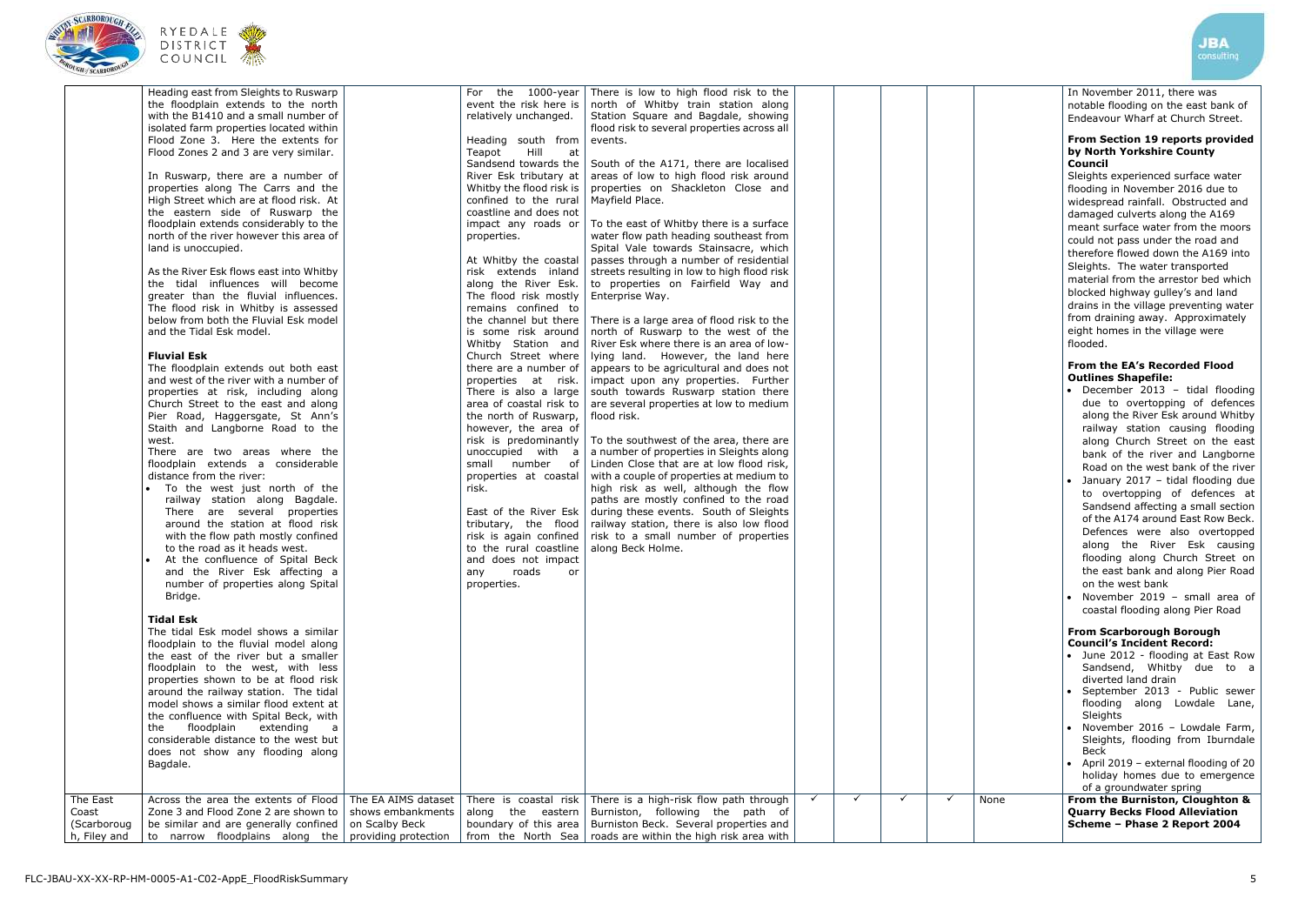



|                                      | Heading east from Sleights to Ruswarp<br>the floodplain extends to the north<br>with the B1410 and a small number of<br>isolated farm properties located within<br>Flood Zone 3. Here the extents for<br>Flood Zones 2 and 3 are very similar.<br>In Ruswarp, there are a number of<br>properties along The Carrs and the<br>High Street which are at flood risk. At<br>the eastern side of Ruswarp the<br>floodplain extends considerably to the<br>north of the river however this area of<br>land is unoccupied.<br>As the River Esk flows east into Whitby<br>the tidal influences will become<br>greater than the fluvial influences.<br>The flood risk in Whitby is assessed<br>below from both the Fluvial Esk model<br>and the Tidal Esk model.<br><b>Fluvial Esk</b><br>The floodplain extends out both east<br>and west of the river with a number of<br>properties at risk, including along<br>Church Street to the east and along<br>Pier Road, Haggersgate, St Ann's<br>Staith and Langborne Road to the<br>west.<br>There are two areas where the<br>floodplain extends a considerable<br>distance from the river:<br>To the west just north of the<br>railway station along Bagdale.<br>There are several properties<br>around the station at flood risk<br>with the flow path mostly confined<br>to the road as it heads west.<br>At the confluence of Spital Beck<br>and the River Esk affecting a<br>number of properties along Spital<br>Bridge.<br><b>Tidal Esk</b><br>The tidal Esk model shows a similar<br>floodplain to the fluvial model along<br>the east of the river but a smaller<br>floodplain to the west, with less<br>properties shown to be at flood risk<br>around the railway station. The tidal<br>model shows a similar flood extent at<br>the confluence with Spital Beck, with<br>the<br>floodplain<br>extending<br>a<br>considerable distance to the west but<br>does not show any flooding along<br>Bagdale. |                                     | the 1000-year<br>For<br>event the risk here is<br>relatively unchanged.<br>Heading south from<br>Hill<br>Teapot<br>at<br>Sandsend towards the<br>River Esk tributary at<br>Whitby the flood risk is<br>confined to the rural<br>coastline and does not<br>impact any roads or<br>properties.<br>At Whitby the coastal<br>risk extends inland<br>along the River Esk.<br>The flood risk mostly<br>remains confined to<br>the channel but there<br>is some risk around<br>Whitby Station and<br>Church Street where<br>there are a number of<br>properties at risk.<br>There is also a large<br>area of coastal risk to<br>the north of Ruswarp,<br>however, the area of<br>risk is predominantly<br>unoccupied with a<br>small number of<br>properties at coastal<br>risk.<br>East of the River Esk<br>tributary, the flood<br>risk is again confined<br>to the rural coastline<br>and does not impact<br>roads<br>any<br>or<br>properties. | There is low to high flood risk to the<br>north of Whitby train station along<br>Station Square and Bagdale, showing<br>flood risk to several properties across all<br>events.<br>South of the A171, there are localised<br>areas of low to high flood risk around<br>properties on Shackleton Close and<br>Mayfield Place.<br>To the east of Whitby there is a surface<br>water flow path heading southeast from<br>Spital Vale towards Stainsacre, which<br>passes through a number of residential<br>streets resulting in low to high flood risk<br>to properties on Fairfield Way and<br>Enterprise Way.<br>There is a large area of flood risk to the<br>north of Ruswarp to the west of the<br>River Esk where there is an area of low-<br>lying land. However, the land here<br>appears to be agricultural and does not<br>impact upon any properties. Further<br>south towards Ruswarp station there<br>are several properties at low to medium<br>flood risk.<br>To the southwest of the area, there are<br>a number of properties in Sleights along<br>Linden Close that are at low flood risk,<br>with a couple of properties at medium to<br>high risk as well, although the flow<br>paths are mostly confined to the road<br>during these events. South of Sleights<br>railway station, there is also low flood<br>risk to a small number of properties<br>along Beck Holme. |   |   |   |
|--------------------------------------|--------------------------------------------------------------------------------------------------------------------------------------------------------------------------------------------------------------------------------------------------------------------------------------------------------------------------------------------------------------------------------------------------------------------------------------------------------------------------------------------------------------------------------------------------------------------------------------------------------------------------------------------------------------------------------------------------------------------------------------------------------------------------------------------------------------------------------------------------------------------------------------------------------------------------------------------------------------------------------------------------------------------------------------------------------------------------------------------------------------------------------------------------------------------------------------------------------------------------------------------------------------------------------------------------------------------------------------------------------------------------------------------------------------------------------------------------------------------------------------------------------------------------------------------------------------------------------------------------------------------------------------------------------------------------------------------------------------------------------------------------------------------------------------------------------------------------------------------------------------------------------------------------------------------------------------------------------|-------------------------------------|--------------------------------------------------------------------------------------------------------------------------------------------------------------------------------------------------------------------------------------------------------------------------------------------------------------------------------------------------------------------------------------------------------------------------------------------------------------------------------------------------------------------------------------------------------------------------------------------------------------------------------------------------------------------------------------------------------------------------------------------------------------------------------------------------------------------------------------------------------------------------------------------------------------------------------------------|-------------------------------------------------------------------------------------------------------------------------------------------------------------------------------------------------------------------------------------------------------------------------------------------------------------------------------------------------------------------------------------------------------------------------------------------------------------------------------------------------------------------------------------------------------------------------------------------------------------------------------------------------------------------------------------------------------------------------------------------------------------------------------------------------------------------------------------------------------------------------------------------------------------------------------------------------------------------------------------------------------------------------------------------------------------------------------------------------------------------------------------------------------------------------------------------------------------------------------------------------------------------------------------------------------------------------------------------------------------------------------------------|---|---|---|
| The East                             | Across the area the extents of Flood                                                                                                                                                                                                                                                                                                                                                                                                                                                                                                                                                                                                                                                                                                                                                                                                                                                                                                                                                                                                                                                                                                                                                                                                                                                                                                                                                                                                                                                                                                                                                                                                                                                                                                                                                                                                                                                                                                                   | The EA AIMS dataset                 | There is coastal risk                                                                                                                                                                                                                                                                                                                                                                                                                                                                                                                                                                                                                                                                                                                                                                                                                                                                                                                      | There is a high-risk flow path through                                                                                                                                                                                                                                                                                                                                                                                                                                                                                                                                                                                                                                                                                                                                                                                                                                                                                                                                                                                                                                                                                                                                                                                                                                                                                                                                                    | ✓ | ✓ | ✓ |
| Coast<br>(Scarboroug<br>h, Filey and | Zone 3 and Flood Zone 2 are shown to<br>be similar and are generally confined<br>to narrow floodplains along the $ $ providing protection                                                                                                                                                                                                                                                                                                                                                                                                                                                                                                                                                                                                                                                                                                                                                                                                                                                                                                                                                                                                                                                                                                                                                                                                                                                                                                                                                                                                                                                                                                                                                                                                                                                                                                                                                                                                              | shows embankments<br>on Scalby Beck | along the eastern<br>boundary of this area<br>from the North Sea                                                                                                                                                                                                                                                                                                                                                                                                                                                                                                                                                                                                                                                                                                                                                                                                                                                                           | Burniston, following the path of<br>Burniston Beck. Several properties and<br>roads are within the high risk area with                                                                                                                                                                                                                                                                                                                                                                                                                                                                                                                                                                                                                                                                                                                                                                                                                                                                                                                                                                                                                                                                                                                                                                                                                                                                    |   |   |   |

In November 2011, there was notable flooding on the east bank of Endeavour Wharf at Church Street.

#### **From Section 19 reports provided by North Yorkshire County Council**

Sleights experienced surface water flooding in November 2016 due to widespread rainfall. Obstructed and damaged culverts along the A169 meant surface water from the moors could not pass under the road and therefore flowed down the A169 into Sleights. The water transported material from the arrestor bed which blocked highway gulley's and land drains in the village preventing water from draining away. Approximately eight homes in the village were flooded.

## **From the EA's Recorded Flood Outlines Shapefile:**

| $\bullet$ | December 2013 - tidal flooding     |
|-----------|------------------------------------|
|           | due to overtopping of defences     |
|           | along the River Esk around Whitby  |
|           | railway station causing flooding   |
|           | along Church Street on the east    |
|           | bank of the river and Langborne    |
|           | Road on the west bank of the river |
|           |                                    |

- January 2017 tidal flooding due to overtopping of defences at Sandsend affecting a small section of the A174 around East Row Beck. Defences were also overtopped along the River Esk causing flooding along Church Street on the east bank and along Pier Road on the west bank
- November 2019 small area of coastal flooding along Pier Road

# **From Scarborough Borough Council's Incident Record:**

- June 2012 flooding at East Row Sandsend, Whitby due to a diverted land drain
- September 2013 Public sewer flooding along Lowdale Lane, Sleights
- November 2016 Lowdale Farm, Sleights, flooding from Iburndale Beck
- April 2019 external flooding of 20 holiday homes due to emergence of a groundwater spring

| None | <b>From the Burniston, Cloughton &amp;</b> |
|------|--------------------------------------------|
|      | Quarry Becks Flood Alleviation             |
|      | Scheme - Phase 2 Report 2004               |
|      |                                            |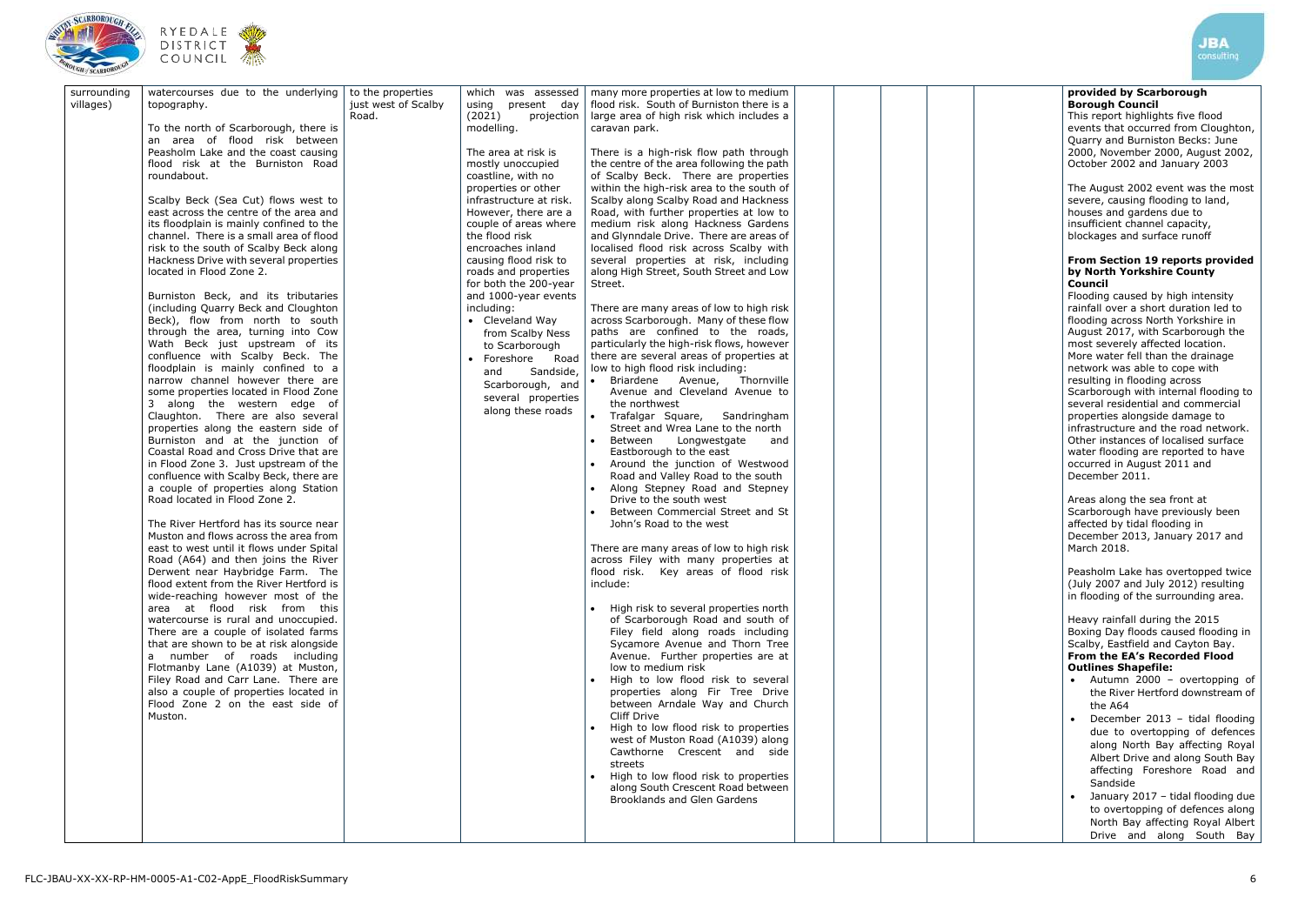





| flood risk. South of Burniston there is a<br>villages)<br>just west of Scalby<br>using present day<br>topography.<br>Road.<br>(2021)<br>large area of high risk which includes a<br>projection<br>To the north of Scarborough, there is<br>modelling.<br>caravan park.<br>an area of flood risk between<br>Peasholm Lake and the coast causing<br>The area at risk is<br>There is a high-risk flow path through<br>the centre of the area following the path<br>flood risk at the Burniston Road<br>mostly unoccupied<br>coastline, with no<br>of Scalby Beck. There are properties<br>roundabout.<br>within the high-risk area to the south of<br>properties or other<br>Scalby along Scalby Road and Hackness<br>Scalby Beck (Sea Cut) flows west to<br>infrastructure at risk.<br>east across the centre of the area and<br>However, there are a<br>Road, with further properties at low to<br>its floodplain is mainly confined to the<br>couple of areas where<br>medium risk along Hackness Gardens<br>channel. There is a small area of flood<br>the flood risk<br>and Glynndale Drive. There are areas of<br>risk to the south of Scalby Beck along<br>localised flood risk across Scalby with<br>encroaches inland<br>Hackness Drive with several properties<br>causing flood risk to<br>several properties at risk, including<br>located in Flood Zone 2.<br>along High Street, South Street and Low<br>roads and properties<br>for both the 200-year<br>Street.<br>Burniston Beck, and its tributaries<br>and 1000-year events<br>There are many areas of low to high risk<br>(including Quarry Beck and Cloughton<br>including:<br>Beck), flow from north to south<br>• Cleveland Way<br>across Scarborough. Many of these flow<br>through the area, turning into Cow<br>paths are confined to the roads,<br>from Scalby Ness<br>Wath Beck just upstream of its<br>particularly the high-risk flows, however<br>to Scarborough<br>confluence with Scalby Beck. The<br>there are several areas of properties at<br>• Foreshore<br>Road<br>floodplain is mainly confined to a<br>low to high flood risk including:<br>Sandside,<br>and<br>narrow channel however there are<br>• Briardene Avenue, Thornville<br>Scarborough, and<br>Avenue and Cleveland Avenue to<br>some properties located in Flood Zone<br>several properties<br>3 along the western edge of<br>the northwest<br>along these roads<br>• Trafalgar Square,<br>Claughton. There are also several<br>Sandringham<br>properties along the eastern side of<br>Street and Wrea Lane to the north<br>Burniston and at the junction of<br>Between<br>Longwestgate<br>and<br>Coastal Road and Cross Drive that are<br>Eastborough to the east<br>Around the junction of Westwood<br>in Flood Zone 3. Just upstream of the<br>$\bullet$<br>confluence with Scalby Beck, there are<br>Road and Valley Road to the south<br>a couple of properties along Station<br>Along Stepney Road and Stepney<br>Road located in Flood Zone 2.<br>Drive to the south west<br>Between Commercial Street and St<br>The River Hertford has its source near<br>John's Road to the west<br>Muston and flows across the area from<br>east to west until it flows under Spital<br>There are many areas of low to high risk<br>Road (A64) and then joins the River<br>across Filey with many properties at<br>Derwent near Haybridge Farm. The<br>flood risk. Key areas of flood risk<br>flood extent from the River Hertford is<br>include:<br>wide-reaching however most of the<br>area at flood risk from this<br>• High risk to several properties north<br>watercourse is rural and unoccupied.<br>of Scarborough Road and south of<br>Filey field along roads including<br>There are a couple of isolated farms<br>that are shown to be at risk alongside<br>Sycamore Avenue and Thorn Tree<br>Avenue. Further properties are at<br>a number of roads including<br>low to medium risk<br>Flotmanby Lane (A1039) at Muston,<br>. High to low flood risk to several<br>Filey Road and Carr Lane. There are<br>also a couple of properties located in<br>properties along Fir Tree Drive |             |                                    |                   |                    |                                       |  |
|--------------------------------------------------------------------------------------------------------------------------------------------------------------------------------------------------------------------------------------------------------------------------------------------------------------------------------------------------------------------------------------------------------------------------------------------------------------------------------------------------------------------------------------------------------------------------------------------------------------------------------------------------------------------------------------------------------------------------------------------------------------------------------------------------------------------------------------------------------------------------------------------------------------------------------------------------------------------------------------------------------------------------------------------------------------------------------------------------------------------------------------------------------------------------------------------------------------------------------------------------------------------------------------------------------------------------------------------------------------------------------------------------------------------------------------------------------------------------------------------------------------------------------------------------------------------------------------------------------------------------------------------------------------------------------------------------------------------------------------------------------------------------------------------------------------------------------------------------------------------------------------------------------------------------------------------------------------------------------------------------------------------------------------------------------------------------------------------------------------------------------------------------------------------------------------------------------------------------------------------------------------------------------------------------------------------------------------------------------------------------------------------------------------------------------------------------------------------------------------------------------------------------------------------------------------------------------------------------------------------------------------------------------------------------------------------------------------------------------------------------------------------------------------------------------------------------------------------------------------------------------------------------------------------------------------------------------------------------------------------------------------------------------------------------------------------------------------------------------------------------------------------------------------------------------------------------------------------------------------------------------------------------------------------------------------------------------------------------------------------------------------------------------------------------------------------------------------------------------------------------------------------------------------------------------------------------------------------------------------------------------------------------------------------------------------------------------------------------------------------------------------------------------------------------------------------------------------------------------------------------------------------------------------------------------------------------------------------------------------------------------------------------------------------------------------------------------------------------------------------------------------------|-------------|------------------------------------|-------------------|--------------------|---------------------------------------|--|
|                                                                                                                                                                                                                                                                                                                                                                                                                                                                                                                                                                                                                                                                                                                                                                                                                                                                                                                                                                                                                                                                                                                                                                                                                                                                                                                                                                                                                                                                                                                                                                                                                                                                                                                                                                                                                                                                                                                                                                                                                                                                                                                                                                                                                                                                                                                                                                                                                                                                                                                                                                                                                                                                                                                                                                                                                                                                                                                                                                                                                                                                                                                                                                                                                                                                                                                                                                                                                                                                                                                                                                                                                                                                                                                                                                                                                                                                                                                                                                                                                                                                                                                                            | surrounding | watercourses due to the underlying | to the properties | which was assessed | many more properties at low to medium |  |
|                                                                                                                                                                                                                                                                                                                                                                                                                                                                                                                                                                                                                                                                                                                                                                                                                                                                                                                                                                                                                                                                                                                                                                                                                                                                                                                                                                                                                                                                                                                                                                                                                                                                                                                                                                                                                                                                                                                                                                                                                                                                                                                                                                                                                                                                                                                                                                                                                                                                                                                                                                                                                                                                                                                                                                                                                                                                                                                                                                                                                                                                                                                                                                                                                                                                                                                                                                                                                                                                                                                                                                                                                                                                                                                                                                                                                                                                                                                                                                                                                                                                                                                                            |             |                                    |                   |                    |                                       |  |
|                                                                                                                                                                                                                                                                                                                                                                                                                                                                                                                                                                                                                                                                                                                                                                                                                                                                                                                                                                                                                                                                                                                                                                                                                                                                                                                                                                                                                                                                                                                                                                                                                                                                                                                                                                                                                                                                                                                                                                                                                                                                                                                                                                                                                                                                                                                                                                                                                                                                                                                                                                                                                                                                                                                                                                                                                                                                                                                                                                                                                                                                                                                                                                                                                                                                                                                                                                                                                                                                                                                                                                                                                                                                                                                                                                                                                                                                                                                                                                                                                                                                                                                                            |             |                                    |                   |                    |                                       |  |
|                                                                                                                                                                                                                                                                                                                                                                                                                                                                                                                                                                                                                                                                                                                                                                                                                                                                                                                                                                                                                                                                                                                                                                                                                                                                                                                                                                                                                                                                                                                                                                                                                                                                                                                                                                                                                                                                                                                                                                                                                                                                                                                                                                                                                                                                                                                                                                                                                                                                                                                                                                                                                                                                                                                                                                                                                                                                                                                                                                                                                                                                                                                                                                                                                                                                                                                                                                                                                                                                                                                                                                                                                                                                                                                                                                                                                                                                                                                                                                                                                                                                                                                                            |             |                                    |                   |                    |                                       |  |
|                                                                                                                                                                                                                                                                                                                                                                                                                                                                                                                                                                                                                                                                                                                                                                                                                                                                                                                                                                                                                                                                                                                                                                                                                                                                                                                                                                                                                                                                                                                                                                                                                                                                                                                                                                                                                                                                                                                                                                                                                                                                                                                                                                                                                                                                                                                                                                                                                                                                                                                                                                                                                                                                                                                                                                                                                                                                                                                                                                                                                                                                                                                                                                                                                                                                                                                                                                                                                                                                                                                                                                                                                                                                                                                                                                                                                                                                                                                                                                                                                                                                                                                                            |             |                                    |                   |                    |                                       |  |
|                                                                                                                                                                                                                                                                                                                                                                                                                                                                                                                                                                                                                                                                                                                                                                                                                                                                                                                                                                                                                                                                                                                                                                                                                                                                                                                                                                                                                                                                                                                                                                                                                                                                                                                                                                                                                                                                                                                                                                                                                                                                                                                                                                                                                                                                                                                                                                                                                                                                                                                                                                                                                                                                                                                                                                                                                                                                                                                                                                                                                                                                                                                                                                                                                                                                                                                                                                                                                                                                                                                                                                                                                                                                                                                                                                                                                                                                                                                                                                                                                                                                                                                                            |             |                                    |                   |                    |                                       |  |
|                                                                                                                                                                                                                                                                                                                                                                                                                                                                                                                                                                                                                                                                                                                                                                                                                                                                                                                                                                                                                                                                                                                                                                                                                                                                                                                                                                                                                                                                                                                                                                                                                                                                                                                                                                                                                                                                                                                                                                                                                                                                                                                                                                                                                                                                                                                                                                                                                                                                                                                                                                                                                                                                                                                                                                                                                                                                                                                                                                                                                                                                                                                                                                                                                                                                                                                                                                                                                                                                                                                                                                                                                                                                                                                                                                                                                                                                                                                                                                                                                                                                                                                                            |             |                                    |                   |                    |                                       |  |
|                                                                                                                                                                                                                                                                                                                                                                                                                                                                                                                                                                                                                                                                                                                                                                                                                                                                                                                                                                                                                                                                                                                                                                                                                                                                                                                                                                                                                                                                                                                                                                                                                                                                                                                                                                                                                                                                                                                                                                                                                                                                                                                                                                                                                                                                                                                                                                                                                                                                                                                                                                                                                                                                                                                                                                                                                                                                                                                                                                                                                                                                                                                                                                                                                                                                                                                                                                                                                                                                                                                                                                                                                                                                                                                                                                                                                                                                                                                                                                                                                                                                                                                                            |             |                                    |                   |                    |                                       |  |
|                                                                                                                                                                                                                                                                                                                                                                                                                                                                                                                                                                                                                                                                                                                                                                                                                                                                                                                                                                                                                                                                                                                                                                                                                                                                                                                                                                                                                                                                                                                                                                                                                                                                                                                                                                                                                                                                                                                                                                                                                                                                                                                                                                                                                                                                                                                                                                                                                                                                                                                                                                                                                                                                                                                                                                                                                                                                                                                                                                                                                                                                                                                                                                                                                                                                                                                                                                                                                                                                                                                                                                                                                                                                                                                                                                                                                                                                                                                                                                                                                                                                                                                                            |             |                                    |                   |                    |                                       |  |
|                                                                                                                                                                                                                                                                                                                                                                                                                                                                                                                                                                                                                                                                                                                                                                                                                                                                                                                                                                                                                                                                                                                                                                                                                                                                                                                                                                                                                                                                                                                                                                                                                                                                                                                                                                                                                                                                                                                                                                                                                                                                                                                                                                                                                                                                                                                                                                                                                                                                                                                                                                                                                                                                                                                                                                                                                                                                                                                                                                                                                                                                                                                                                                                                                                                                                                                                                                                                                                                                                                                                                                                                                                                                                                                                                                                                                                                                                                                                                                                                                                                                                                                                            |             |                                    |                   |                    |                                       |  |
|                                                                                                                                                                                                                                                                                                                                                                                                                                                                                                                                                                                                                                                                                                                                                                                                                                                                                                                                                                                                                                                                                                                                                                                                                                                                                                                                                                                                                                                                                                                                                                                                                                                                                                                                                                                                                                                                                                                                                                                                                                                                                                                                                                                                                                                                                                                                                                                                                                                                                                                                                                                                                                                                                                                                                                                                                                                                                                                                                                                                                                                                                                                                                                                                                                                                                                                                                                                                                                                                                                                                                                                                                                                                                                                                                                                                                                                                                                                                                                                                                                                                                                                                            |             |                                    |                   |                    |                                       |  |
|                                                                                                                                                                                                                                                                                                                                                                                                                                                                                                                                                                                                                                                                                                                                                                                                                                                                                                                                                                                                                                                                                                                                                                                                                                                                                                                                                                                                                                                                                                                                                                                                                                                                                                                                                                                                                                                                                                                                                                                                                                                                                                                                                                                                                                                                                                                                                                                                                                                                                                                                                                                                                                                                                                                                                                                                                                                                                                                                                                                                                                                                                                                                                                                                                                                                                                                                                                                                                                                                                                                                                                                                                                                                                                                                                                                                                                                                                                                                                                                                                                                                                                                                            |             |                                    |                   |                    |                                       |  |
|                                                                                                                                                                                                                                                                                                                                                                                                                                                                                                                                                                                                                                                                                                                                                                                                                                                                                                                                                                                                                                                                                                                                                                                                                                                                                                                                                                                                                                                                                                                                                                                                                                                                                                                                                                                                                                                                                                                                                                                                                                                                                                                                                                                                                                                                                                                                                                                                                                                                                                                                                                                                                                                                                                                                                                                                                                                                                                                                                                                                                                                                                                                                                                                                                                                                                                                                                                                                                                                                                                                                                                                                                                                                                                                                                                                                                                                                                                                                                                                                                                                                                                                                            |             |                                    |                   |                    |                                       |  |
|                                                                                                                                                                                                                                                                                                                                                                                                                                                                                                                                                                                                                                                                                                                                                                                                                                                                                                                                                                                                                                                                                                                                                                                                                                                                                                                                                                                                                                                                                                                                                                                                                                                                                                                                                                                                                                                                                                                                                                                                                                                                                                                                                                                                                                                                                                                                                                                                                                                                                                                                                                                                                                                                                                                                                                                                                                                                                                                                                                                                                                                                                                                                                                                                                                                                                                                                                                                                                                                                                                                                                                                                                                                                                                                                                                                                                                                                                                                                                                                                                                                                                                                                            |             |                                    |                   |                    |                                       |  |
|                                                                                                                                                                                                                                                                                                                                                                                                                                                                                                                                                                                                                                                                                                                                                                                                                                                                                                                                                                                                                                                                                                                                                                                                                                                                                                                                                                                                                                                                                                                                                                                                                                                                                                                                                                                                                                                                                                                                                                                                                                                                                                                                                                                                                                                                                                                                                                                                                                                                                                                                                                                                                                                                                                                                                                                                                                                                                                                                                                                                                                                                                                                                                                                                                                                                                                                                                                                                                                                                                                                                                                                                                                                                                                                                                                                                                                                                                                                                                                                                                                                                                                                                            |             |                                    |                   |                    |                                       |  |
|                                                                                                                                                                                                                                                                                                                                                                                                                                                                                                                                                                                                                                                                                                                                                                                                                                                                                                                                                                                                                                                                                                                                                                                                                                                                                                                                                                                                                                                                                                                                                                                                                                                                                                                                                                                                                                                                                                                                                                                                                                                                                                                                                                                                                                                                                                                                                                                                                                                                                                                                                                                                                                                                                                                                                                                                                                                                                                                                                                                                                                                                                                                                                                                                                                                                                                                                                                                                                                                                                                                                                                                                                                                                                                                                                                                                                                                                                                                                                                                                                                                                                                                                            |             |                                    |                   |                    |                                       |  |
|                                                                                                                                                                                                                                                                                                                                                                                                                                                                                                                                                                                                                                                                                                                                                                                                                                                                                                                                                                                                                                                                                                                                                                                                                                                                                                                                                                                                                                                                                                                                                                                                                                                                                                                                                                                                                                                                                                                                                                                                                                                                                                                                                                                                                                                                                                                                                                                                                                                                                                                                                                                                                                                                                                                                                                                                                                                                                                                                                                                                                                                                                                                                                                                                                                                                                                                                                                                                                                                                                                                                                                                                                                                                                                                                                                                                                                                                                                                                                                                                                                                                                                                                            |             |                                    |                   |                    |                                       |  |
|                                                                                                                                                                                                                                                                                                                                                                                                                                                                                                                                                                                                                                                                                                                                                                                                                                                                                                                                                                                                                                                                                                                                                                                                                                                                                                                                                                                                                                                                                                                                                                                                                                                                                                                                                                                                                                                                                                                                                                                                                                                                                                                                                                                                                                                                                                                                                                                                                                                                                                                                                                                                                                                                                                                                                                                                                                                                                                                                                                                                                                                                                                                                                                                                                                                                                                                                                                                                                                                                                                                                                                                                                                                                                                                                                                                                                                                                                                                                                                                                                                                                                                                                            |             |                                    |                   |                    |                                       |  |
|                                                                                                                                                                                                                                                                                                                                                                                                                                                                                                                                                                                                                                                                                                                                                                                                                                                                                                                                                                                                                                                                                                                                                                                                                                                                                                                                                                                                                                                                                                                                                                                                                                                                                                                                                                                                                                                                                                                                                                                                                                                                                                                                                                                                                                                                                                                                                                                                                                                                                                                                                                                                                                                                                                                                                                                                                                                                                                                                                                                                                                                                                                                                                                                                                                                                                                                                                                                                                                                                                                                                                                                                                                                                                                                                                                                                                                                                                                                                                                                                                                                                                                                                            |             |                                    |                   |                    |                                       |  |
|                                                                                                                                                                                                                                                                                                                                                                                                                                                                                                                                                                                                                                                                                                                                                                                                                                                                                                                                                                                                                                                                                                                                                                                                                                                                                                                                                                                                                                                                                                                                                                                                                                                                                                                                                                                                                                                                                                                                                                                                                                                                                                                                                                                                                                                                                                                                                                                                                                                                                                                                                                                                                                                                                                                                                                                                                                                                                                                                                                                                                                                                                                                                                                                                                                                                                                                                                                                                                                                                                                                                                                                                                                                                                                                                                                                                                                                                                                                                                                                                                                                                                                                                            |             |                                    |                   |                    |                                       |  |
|                                                                                                                                                                                                                                                                                                                                                                                                                                                                                                                                                                                                                                                                                                                                                                                                                                                                                                                                                                                                                                                                                                                                                                                                                                                                                                                                                                                                                                                                                                                                                                                                                                                                                                                                                                                                                                                                                                                                                                                                                                                                                                                                                                                                                                                                                                                                                                                                                                                                                                                                                                                                                                                                                                                                                                                                                                                                                                                                                                                                                                                                                                                                                                                                                                                                                                                                                                                                                                                                                                                                                                                                                                                                                                                                                                                                                                                                                                                                                                                                                                                                                                                                            |             |                                    |                   |                    |                                       |  |
|                                                                                                                                                                                                                                                                                                                                                                                                                                                                                                                                                                                                                                                                                                                                                                                                                                                                                                                                                                                                                                                                                                                                                                                                                                                                                                                                                                                                                                                                                                                                                                                                                                                                                                                                                                                                                                                                                                                                                                                                                                                                                                                                                                                                                                                                                                                                                                                                                                                                                                                                                                                                                                                                                                                                                                                                                                                                                                                                                                                                                                                                                                                                                                                                                                                                                                                                                                                                                                                                                                                                                                                                                                                                                                                                                                                                                                                                                                                                                                                                                                                                                                                                            |             |                                    |                   |                    |                                       |  |
|                                                                                                                                                                                                                                                                                                                                                                                                                                                                                                                                                                                                                                                                                                                                                                                                                                                                                                                                                                                                                                                                                                                                                                                                                                                                                                                                                                                                                                                                                                                                                                                                                                                                                                                                                                                                                                                                                                                                                                                                                                                                                                                                                                                                                                                                                                                                                                                                                                                                                                                                                                                                                                                                                                                                                                                                                                                                                                                                                                                                                                                                                                                                                                                                                                                                                                                                                                                                                                                                                                                                                                                                                                                                                                                                                                                                                                                                                                                                                                                                                                                                                                                                            |             |                                    |                   |                    |                                       |  |
|                                                                                                                                                                                                                                                                                                                                                                                                                                                                                                                                                                                                                                                                                                                                                                                                                                                                                                                                                                                                                                                                                                                                                                                                                                                                                                                                                                                                                                                                                                                                                                                                                                                                                                                                                                                                                                                                                                                                                                                                                                                                                                                                                                                                                                                                                                                                                                                                                                                                                                                                                                                                                                                                                                                                                                                                                                                                                                                                                                                                                                                                                                                                                                                                                                                                                                                                                                                                                                                                                                                                                                                                                                                                                                                                                                                                                                                                                                                                                                                                                                                                                                                                            |             |                                    |                   |                    |                                       |  |
|                                                                                                                                                                                                                                                                                                                                                                                                                                                                                                                                                                                                                                                                                                                                                                                                                                                                                                                                                                                                                                                                                                                                                                                                                                                                                                                                                                                                                                                                                                                                                                                                                                                                                                                                                                                                                                                                                                                                                                                                                                                                                                                                                                                                                                                                                                                                                                                                                                                                                                                                                                                                                                                                                                                                                                                                                                                                                                                                                                                                                                                                                                                                                                                                                                                                                                                                                                                                                                                                                                                                                                                                                                                                                                                                                                                                                                                                                                                                                                                                                                                                                                                                            |             |                                    |                   |                    |                                       |  |
|                                                                                                                                                                                                                                                                                                                                                                                                                                                                                                                                                                                                                                                                                                                                                                                                                                                                                                                                                                                                                                                                                                                                                                                                                                                                                                                                                                                                                                                                                                                                                                                                                                                                                                                                                                                                                                                                                                                                                                                                                                                                                                                                                                                                                                                                                                                                                                                                                                                                                                                                                                                                                                                                                                                                                                                                                                                                                                                                                                                                                                                                                                                                                                                                                                                                                                                                                                                                                                                                                                                                                                                                                                                                                                                                                                                                                                                                                                                                                                                                                                                                                                                                            |             |                                    |                   |                    |                                       |  |
|                                                                                                                                                                                                                                                                                                                                                                                                                                                                                                                                                                                                                                                                                                                                                                                                                                                                                                                                                                                                                                                                                                                                                                                                                                                                                                                                                                                                                                                                                                                                                                                                                                                                                                                                                                                                                                                                                                                                                                                                                                                                                                                                                                                                                                                                                                                                                                                                                                                                                                                                                                                                                                                                                                                                                                                                                                                                                                                                                                                                                                                                                                                                                                                                                                                                                                                                                                                                                                                                                                                                                                                                                                                                                                                                                                                                                                                                                                                                                                                                                                                                                                                                            |             |                                    |                   |                    |                                       |  |
|                                                                                                                                                                                                                                                                                                                                                                                                                                                                                                                                                                                                                                                                                                                                                                                                                                                                                                                                                                                                                                                                                                                                                                                                                                                                                                                                                                                                                                                                                                                                                                                                                                                                                                                                                                                                                                                                                                                                                                                                                                                                                                                                                                                                                                                                                                                                                                                                                                                                                                                                                                                                                                                                                                                                                                                                                                                                                                                                                                                                                                                                                                                                                                                                                                                                                                                                                                                                                                                                                                                                                                                                                                                                                                                                                                                                                                                                                                                                                                                                                                                                                                                                            |             |                                    |                   |                    |                                       |  |
|                                                                                                                                                                                                                                                                                                                                                                                                                                                                                                                                                                                                                                                                                                                                                                                                                                                                                                                                                                                                                                                                                                                                                                                                                                                                                                                                                                                                                                                                                                                                                                                                                                                                                                                                                                                                                                                                                                                                                                                                                                                                                                                                                                                                                                                                                                                                                                                                                                                                                                                                                                                                                                                                                                                                                                                                                                                                                                                                                                                                                                                                                                                                                                                                                                                                                                                                                                                                                                                                                                                                                                                                                                                                                                                                                                                                                                                                                                                                                                                                                                                                                                                                            |             |                                    |                   |                    |                                       |  |
|                                                                                                                                                                                                                                                                                                                                                                                                                                                                                                                                                                                                                                                                                                                                                                                                                                                                                                                                                                                                                                                                                                                                                                                                                                                                                                                                                                                                                                                                                                                                                                                                                                                                                                                                                                                                                                                                                                                                                                                                                                                                                                                                                                                                                                                                                                                                                                                                                                                                                                                                                                                                                                                                                                                                                                                                                                                                                                                                                                                                                                                                                                                                                                                                                                                                                                                                                                                                                                                                                                                                                                                                                                                                                                                                                                                                                                                                                                                                                                                                                                                                                                                                            |             |                                    |                   |                    |                                       |  |
|                                                                                                                                                                                                                                                                                                                                                                                                                                                                                                                                                                                                                                                                                                                                                                                                                                                                                                                                                                                                                                                                                                                                                                                                                                                                                                                                                                                                                                                                                                                                                                                                                                                                                                                                                                                                                                                                                                                                                                                                                                                                                                                                                                                                                                                                                                                                                                                                                                                                                                                                                                                                                                                                                                                                                                                                                                                                                                                                                                                                                                                                                                                                                                                                                                                                                                                                                                                                                                                                                                                                                                                                                                                                                                                                                                                                                                                                                                                                                                                                                                                                                                                                            |             |                                    |                   |                    |                                       |  |
|                                                                                                                                                                                                                                                                                                                                                                                                                                                                                                                                                                                                                                                                                                                                                                                                                                                                                                                                                                                                                                                                                                                                                                                                                                                                                                                                                                                                                                                                                                                                                                                                                                                                                                                                                                                                                                                                                                                                                                                                                                                                                                                                                                                                                                                                                                                                                                                                                                                                                                                                                                                                                                                                                                                                                                                                                                                                                                                                                                                                                                                                                                                                                                                                                                                                                                                                                                                                                                                                                                                                                                                                                                                                                                                                                                                                                                                                                                                                                                                                                                                                                                                                            |             |                                    |                   |                    |                                       |  |
|                                                                                                                                                                                                                                                                                                                                                                                                                                                                                                                                                                                                                                                                                                                                                                                                                                                                                                                                                                                                                                                                                                                                                                                                                                                                                                                                                                                                                                                                                                                                                                                                                                                                                                                                                                                                                                                                                                                                                                                                                                                                                                                                                                                                                                                                                                                                                                                                                                                                                                                                                                                                                                                                                                                                                                                                                                                                                                                                                                                                                                                                                                                                                                                                                                                                                                                                                                                                                                                                                                                                                                                                                                                                                                                                                                                                                                                                                                                                                                                                                                                                                                                                            |             |                                    |                   |                    |                                       |  |
|                                                                                                                                                                                                                                                                                                                                                                                                                                                                                                                                                                                                                                                                                                                                                                                                                                                                                                                                                                                                                                                                                                                                                                                                                                                                                                                                                                                                                                                                                                                                                                                                                                                                                                                                                                                                                                                                                                                                                                                                                                                                                                                                                                                                                                                                                                                                                                                                                                                                                                                                                                                                                                                                                                                                                                                                                                                                                                                                                                                                                                                                                                                                                                                                                                                                                                                                                                                                                                                                                                                                                                                                                                                                                                                                                                                                                                                                                                                                                                                                                                                                                                                                            |             | Flood Zone 2 on the east side of   |                   |                    | between Arndale Way and Church        |  |
| <b>Cliff Drive</b><br>Muston.<br>High to low flood risk to properties<br>$\bullet$                                                                                                                                                                                                                                                                                                                                                                                                                                                                                                                                                                                                                                                                                                                                                                                                                                                                                                                                                                                                                                                                                                                                                                                                                                                                                                                                                                                                                                                                                                                                                                                                                                                                                                                                                                                                                                                                                                                                                                                                                                                                                                                                                                                                                                                                                                                                                                                                                                                                                                                                                                                                                                                                                                                                                                                                                                                                                                                                                                                                                                                                                                                                                                                                                                                                                                                                                                                                                                                                                                                                                                                                                                                                                                                                                                                                                                                                                                                                                                                                                                                         |             |                                    |                   |                    |                                       |  |
| west of Muston Road (A1039) along                                                                                                                                                                                                                                                                                                                                                                                                                                                                                                                                                                                                                                                                                                                                                                                                                                                                                                                                                                                                                                                                                                                                                                                                                                                                                                                                                                                                                                                                                                                                                                                                                                                                                                                                                                                                                                                                                                                                                                                                                                                                                                                                                                                                                                                                                                                                                                                                                                                                                                                                                                                                                                                                                                                                                                                                                                                                                                                                                                                                                                                                                                                                                                                                                                                                                                                                                                                                                                                                                                                                                                                                                                                                                                                                                                                                                                                                                                                                                                                                                                                                                                          |             |                                    |                   |                    |                                       |  |
| Cawthorne Crescent and side<br>streets                                                                                                                                                                                                                                                                                                                                                                                                                                                                                                                                                                                                                                                                                                                                                                                                                                                                                                                                                                                                                                                                                                                                                                                                                                                                                                                                                                                                                                                                                                                                                                                                                                                                                                                                                                                                                                                                                                                                                                                                                                                                                                                                                                                                                                                                                                                                                                                                                                                                                                                                                                                                                                                                                                                                                                                                                                                                                                                                                                                                                                                                                                                                                                                                                                                                                                                                                                                                                                                                                                                                                                                                                                                                                                                                                                                                                                                                                                                                                                                                                                                                                                     |             |                                    |                   |                    |                                       |  |
| High to low flood risk to properties                                                                                                                                                                                                                                                                                                                                                                                                                                                                                                                                                                                                                                                                                                                                                                                                                                                                                                                                                                                                                                                                                                                                                                                                                                                                                                                                                                                                                                                                                                                                                                                                                                                                                                                                                                                                                                                                                                                                                                                                                                                                                                                                                                                                                                                                                                                                                                                                                                                                                                                                                                                                                                                                                                                                                                                                                                                                                                                                                                                                                                                                                                                                                                                                                                                                                                                                                                                                                                                                                                                                                                                                                                                                                                                                                                                                                                                                                                                                                                                                                                                                                                       |             |                                    |                   |                    |                                       |  |
| along South Crescent Road between<br><b>Brooklands and Glen Gardens</b>                                                                                                                                                                                                                                                                                                                                                                                                                                                                                                                                                                                                                                                                                                                                                                                                                                                                                                                                                                                                                                                                                                                                                                                                                                                                                                                                                                                                                                                                                                                                                                                                                                                                                                                                                                                                                                                                                                                                                                                                                                                                                                                                                                                                                                                                                                                                                                                                                                                                                                                                                                                                                                                                                                                                                                                                                                                                                                                                                                                                                                                                                                                                                                                                                                                                                                                                                                                                                                                                                                                                                                                                                                                                                                                                                                                                                                                                                                                                                                                                                                                                    |             |                                    |                   |                    |                                       |  |
|                                                                                                                                                                                                                                                                                                                                                                                                                                                                                                                                                                                                                                                                                                                                                                                                                                                                                                                                                                                                                                                                                                                                                                                                                                                                                                                                                                                                                                                                                                                                                                                                                                                                                                                                                                                                                                                                                                                                                                                                                                                                                                                                                                                                                                                                                                                                                                                                                                                                                                                                                                                                                                                                                                                                                                                                                                                                                                                                                                                                                                                                                                                                                                                                                                                                                                                                                                                                                                                                                                                                                                                                                                                                                                                                                                                                                                                                                                                                                                                                                                                                                                                                            |             |                                    |                   |                    |                                       |  |
|                                                                                                                                                                                                                                                                                                                                                                                                                                                                                                                                                                                                                                                                                                                                                                                                                                                                                                                                                                                                                                                                                                                                                                                                                                                                                                                                                                                                                                                                                                                                                                                                                                                                                                                                                                                                                                                                                                                                                                                                                                                                                                                                                                                                                                                                                                                                                                                                                                                                                                                                                                                                                                                                                                                                                                                                                                                                                                                                                                                                                                                                                                                                                                                                                                                                                                                                                                                                                                                                                                                                                                                                                                                                                                                                                                                                                                                                                                                                                                                                                                                                                                                                            |             |                                    |                   |                    |                                       |  |

# **provided by Scarborough Borough Council**

This report highlights five flood events that occurred from Cl oughton, Quarry and Burniston Becks: June 2000, November 2000, August 2002, October 2002 a nd January 2003

The August 2002 event was the most severe, causing flooding to land, houses and gardens due to insufficient channel capacity, blockages and surface runoff

## **From Section 19 reports provided by North Yorkshire County Council**

Flooding caused by high intensity rainfall over a short duration led to flooding across North Yorkshire in August 2017, with Scarborough the most severely affected location. More water fell than the drainage network was able to cope with resulting in flooding across Scarborough with internal flooding to several residential and commercial properties alongside damage to infrastructure and the road network. Other instances of localised surface water flooding are reported to have occurred in August 2011 and December 2011.

Areas along the sea front at Scarborough have previously been affected by tidal flooding in December 2013, January 2017 and March 2018.

Peasholm Lake has overtopped twice (July 2007 and July 2012) resulting in flooding of the surrounding area.

Heavy rainfall during the 2015 Boxing Day floods caused flooding in Scalby, Eastfield and Cayton Bay. **From the EA's Recorded Flood Outlines Shapefile:**

- Autumn 2000 overtopping of the River Hertford downstream of the A64
- December 2013 tidal flooding due to overtopping of defences along North Bay affecting Royal Albert Drive and along South Bay affecting Foreshore Road and Sandside
- January 2017 tidal flooding due to overtopping of defences along North Bay affecting Royal Albert Drive and along South Bay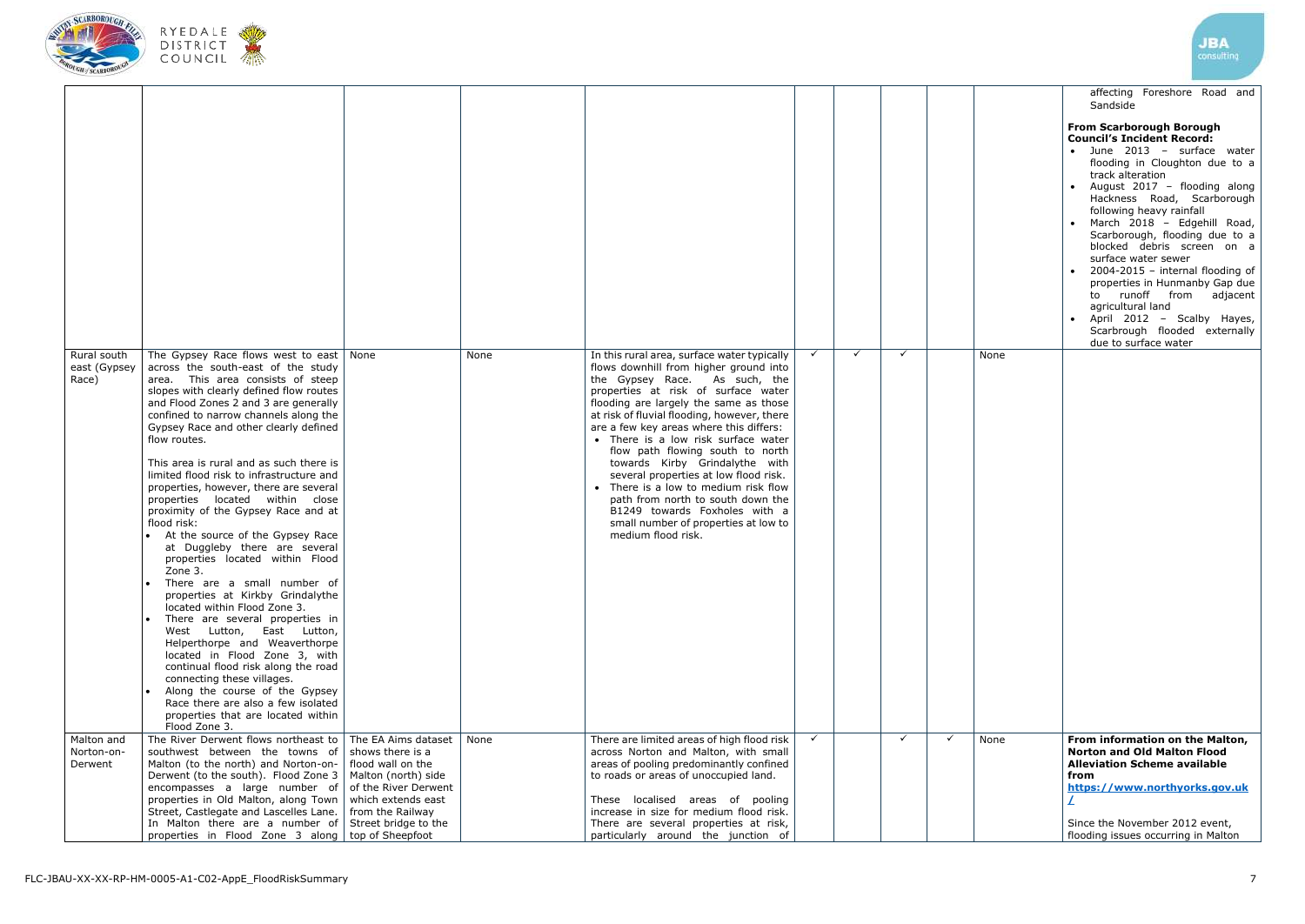





|                                      |                                                                                                                                                                                                                                                                                                                                                                                                                                                                                                                                                                                                                                                                                                                                                                                                                                                                                                                                                                                                                                                                                                        |                                        |      |                                                                                                                                                                                                                                                                                                                                                                                                                                                                                                                                                                                                                                     |              |   |              |              |      | affecting Foreshore Road and<br>Sandside<br><b>From Scarborough Borough</b><br><b>Council's Incident Record:</b><br>· June 2013 - surface water<br>flooding in Cloughton due to a<br>track alteration<br>August 2017 - flooding along                                                                                                                                                          |
|--------------------------------------|--------------------------------------------------------------------------------------------------------------------------------------------------------------------------------------------------------------------------------------------------------------------------------------------------------------------------------------------------------------------------------------------------------------------------------------------------------------------------------------------------------------------------------------------------------------------------------------------------------------------------------------------------------------------------------------------------------------------------------------------------------------------------------------------------------------------------------------------------------------------------------------------------------------------------------------------------------------------------------------------------------------------------------------------------------------------------------------------------------|----------------------------------------|------|-------------------------------------------------------------------------------------------------------------------------------------------------------------------------------------------------------------------------------------------------------------------------------------------------------------------------------------------------------------------------------------------------------------------------------------------------------------------------------------------------------------------------------------------------------------------------------------------------------------------------------------|--------------|---|--------------|--------------|------|------------------------------------------------------------------------------------------------------------------------------------------------------------------------------------------------------------------------------------------------------------------------------------------------------------------------------------------------------------------------------------------------|
|                                      |                                                                                                                                                                                                                                                                                                                                                                                                                                                                                                                                                                                                                                                                                                                                                                                                                                                                                                                                                                                                                                                                                                        |                                        |      |                                                                                                                                                                                                                                                                                                                                                                                                                                                                                                                                                                                                                                     |              |   |              |              |      | Hackness Road, Scarborough<br>following heavy rainfall<br>March 2018 - Edgehill Road,<br>Scarborough, flooding due to a<br>blocked debris screen on a<br>surface water sewer<br>2004-2015 - internal flooding of<br>properties in Hunmanby Gap due<br>to runoff from<br>adjacent<br>agricultural land<br>• April 2012 - Scalby Hayes,<br>Scarbrough flooded externally<br>due to surface water |
| Rural south<br>east (Gypsey<br>Race) | The Gypsey Race flows west to east $\vert$ None<br>across the south-east of the study<br>area. This area consists of steep<br>slopes with clearly defined flow routes<br>and Flood Zones 2 and 3 are generally<br>confined to narrow channels along the<br>Gypsey Race and other clearly defined<br>flow routes.<br>This area is rural and as such there is<br>limited flood risk to infrastructure and<br>properties, however, there are several<br>properties located within close<br>proximity of the Gypsey Race and at<br>flood risk:<br>At the source of the Gypsey Race<br>at Duggleby there are several<br>properties located within Flood<br>Zone 3.<br>There are a small number of<br>properties at Kirkby Grindalythe<br>located within Flood Zone 3.<br>There are several properties in<br>West Lutton, East Lutton,<br>Helperthorpe and Weaverthorpe<br>located in Flood Zone 3, with<br>continual flood risk along the road<br>connecting these villages.<br>Along the course of the Gypsey<br>Race there are also a few isolated<br>properties that are located within<br>Flood Zone 3. |                                        | None | In this rural area, surface water typically<br>flows downhill from higher ground into<br>the Gypsey Race. As such, the<br>properties at risk of surface water<br>flooding are largely the same as those<br>at risk of fluvial flooding, however, there<br>are a few key areas where this differs:<br>• There is a low risk surface water<br>flow path flowing south to north<br>towards Kirby Grindalythe with<br>several properties at low flood risk.<br>• There is a low to medium risk flow<br>path from north to south down the<br>B1249 towards Foxholes with a<br>small number of properties at low to<br>medium flood risk. |              | ✓ | $\checkmark$ |              | None |                                                                                                                                                                                                                                                                                                                                                                                                |
| Malton and<br>Norton-on-<br>Derwent  | The River Derwent flows northeast to $\vert$ The EA Aims dataset<br>southwest between the towns of<br>Malton (to the north) and Norton-on-   flood wall on the<br>Derwent (to the south). Flood Zone $3 \mid$ Malton (north) side<br>encompasses a large number of $\vert$ of the River Derwent<br>properties in Old Malton, along Town<br>Street, Castlegate and Lascelles Lane.   from the Railway<br>In Malton there are a number of Street bridge to the<br>properties in Flood Zone 3 along   top of Sheepfoot                                                                                                                                                                                                                                                                                                                                                                                                                                                                                                                                                                                    | shows there is a<br>which extends east | None | There are limited areas of high flood risk<br>across Norton and Malton, with small<br>areas of pooling predominantly confined<br>to roads or areas of unoccupied land.<br>These localised areas of pooling<br>increase in size for medium flood risk.<br>There are several properties at risk,<br>particularly around the junction of                                                                                                                                                                                                                                                                                               | $\checkmark$ |   | $\checkmark$ | $\checkmark$ | None | From information on the Malton,<br><b>Norton and Old Malton Flood</b><br><b>Alleviation Scheme available</b><br>from<br>https://www.northyorks.gov.uk<br>Since the November 2012 event,<br>flooding issues occurring in Malton                                                                                                                                                                 |